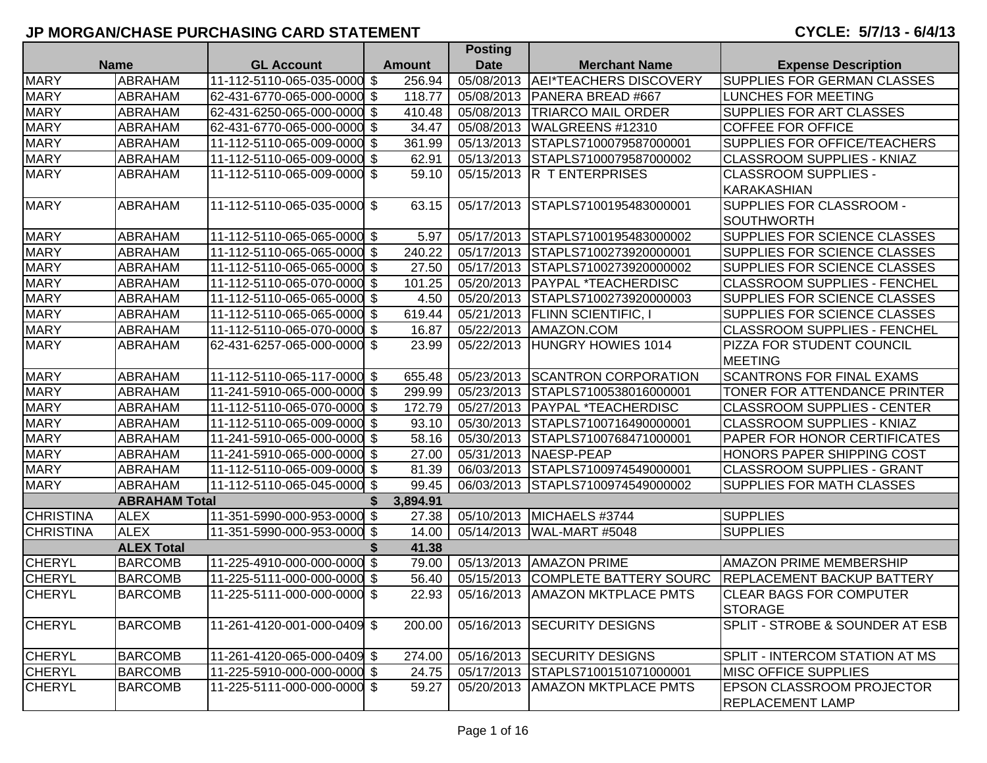|                  |                      |                             |     |               | <b>POSUIL</b> |                                   |                                       |
|------------------|----------------------|-----------------------------|-----|---------------|---------------|-----------------------------------|---------------------------------------|
|                  | <b>Name</b>          | <b>GL Account</b>           |     | <b>Amount</b> | <b>Date</b>   | <b>Merchant Name</b>              | <b>Expense Description</b>            |
| <b>MARY</b>      | ABRAHAM              | 11-112-5110-065-035-0000 \$ |     | 256.94        | 05/08/2013    | AEI*TEACHERS DISCOVERY            | <b>SUPPLIES FOR GERMAN CLASSES</b>    |
| <b>MARY</b>      | ABRAHAM              | 62-431-6770-065-000-0000 \$ |     | 118.77        | 05/08/2013    | PANERA BREAD #667                 | <b>LUNCHES FOR MEETING</b>            |
| <b>MARY</b>      | ABRAHAM              | 62-431-6250-065-000-0000 \$ |     | 410.48        | 05/08/2013    | <b>TRIARCO MAIL ORDER</b>         | <b>SUPPLIES FOR ART CLASSES</b>       |
| <b>MARY</b>      | ABRAHAM              | 62-431-6770-065-000-0000 \$ |     | 34.47         | 05/08/2013    | WALGREENS #12310                  | <b>COFFEE FOR OFFICE</b>              |
| <b>MARY</b>      | ABRAHAM              | 11-112-5110-065-009-0000 \$ |     | 361.99        | 05/13/2013    | STAPLS7100079587000001            | <b>SUPPLIES FOR OFFICE/TEACHERS</b>   |
| <b>MARY</b>      | ABRAHAM              | 11-112-5110-065-009-0000 \$ |     | 62.91         | 05/13/2013    | STAPLS7100079587000002            | <b>CLASSROOM SUPPLIES - KNIAZ</b>     |
| <b>MARY</b>      | ABRAHAM              | 11-112-5110-065-009-0000 \$ |     | 59.10         | 05/15/2013    | <b>R TENTERPRISES</b>             | <b>CLASSROOM SUPPLIES -</b>           |
|                  |                      |                             |     |               |               |                                   | <b>KARAKASHIAN</b>                    |
| <b>MARY</b>      | ABRAHAM              | 11-112-5110-065-035-0000 \$ |     | 63.15         | 05/17/2013    | STAPLS7100195483000001            | SUPPLIES FOR CLASSROOM -              |
|                  |                      |                             |     |               |               |                                   | <b>SOUTHWORTH</b>                     |
| <b>MARY</b>      | ABRAHAM              | 11-112-5110-065-065-0000 \$ |     | 5.97          | 05/17/2013    | STAPLS7100195483000002            | SUPPLIES FOR SCIENCE CLASSES          |
| <b>MARY</b>      | <b>ABRAHAM</b>       | 11-112-5110-065-065-0000 \$ |     | 240.22        | 05/17/2013    | STAPLS7100273920000001            | SUPPLIES FOR SCIENCE CLASSES          |
| <b>MARY</b>      | ABRAHAM              | 11-112-5110-065-065-0000 \$ |     | 27.50         | 05/17/2013    | STAPLS7100273920000002            | SUPPLIES FOR SCIENCE CLASSES          |
| <b>MARY</b>      | ABRAHAM              | 11-112-5110-065-070-0000 \$ |     | 101.25        | 05/20/2013    | <b>PAYPAL *TEACHERDISC</b>        | <b>CLASSROOM SUPPLIES - FENCHEL</b>   |
| <b>MARY</b>      | ABRAHAM              | 11-112-5110-065-065-0000 \$ |     | 4.50          | 05/20/2013    | STAPLS7100273920000003            | SUPPLIES FOR SCIENCE CLASSES          |
| <b>MARY</b>      | ABRAHAM              | 11-112-5110-065-065-0000 \$ |     | 619.44        | 05/21/2013    | <b>FLINN SCIENTIFIC, I</b>        | SUPPLIES FOR SCIENCE CLASSES          |
| <b>MARY</b>      | ABRAHAM              | 11-112-5110-065-070-0000 \$ |     | 16.87         | 05/22/2013    | AMAZON.COM                        | <b>CLASSROOM SUPPLIES - FENCHEL</b>   |
| <b>MARY</b>      | ABRAHAM              | 62-431-6257-065-000-0000 \$ |     | 23.99         | 05/22/2013    | <b>HUNGRY HOWIES 1014</b>         | PIZZA FOR STUDENT COUNCIL             |
|                  |                      |                             |     |               |               |                                   | <b>MEETING</b>                        |
| <b>MARY</b>      | ABRAHAM              | 11-112-5110-065-117-0000 \$ |     | 655.48        | 05/23/2013    | <b>SCANTRON CORPORATION</b>       | <b>SCANTRONS FOR FINAL EXAMS</b>      |
| <b>MARY</b>      | <b>ABRAHAM</b>       | 11-241-5910-065-000-0000 \$ |     | 299.99        | 05/23/2013    | STAPLS7100538016000001            | TONER FOR ATTENDANCE PRINTER          |
| <b>MARY</b>      | <b>ABRAHAM</b>       | 11-112-5110-065-070-0000 \$ |     | 172.79        | 05/27/2013    | <b>PAYPAL *TEACHERDISC</b>        | <b>CLASSROOM SUPPLIES - CENTER</b>    |
| <b>MARY</b>      | <b>ABRAHAM</b>       | 11-112-5110-065-009-0000 \$ |     | 93.10         | 05/30/2013    | STAPLS7100716490000001            | <b>CLASSROOM SUPPLIES - KNIAZ</b>     |
| <b>MARY</b>      | ABRAHAM              | 11-241-5910-065-000-0000 \$ |     | 58.16         | 05/30/2013    | STAPLS7100768471000001            | PAPER FOR HONOR CERTIFICATES          |
| <b>MARY</b>      | <b>ABRAHAM</b>       | 11-241-5910-065-000-0000 \$ |     | 27.00         | 05/31/2013    | NAESP-PEAP                        | HONORS PAPER SHIPPING COST            |
| <b>MARY</b>      | ABRAHAM              | 11-112-5110-065-009-0000 \$ |     | 81.39         | 06/03/2013    | STAPLS7100974549000001            | <b>CLASSROOM SUPPLIES - GRANT</b>     |
| <b>MARY</b>      | ABRAHAM              | 11-112-5110-065-045-0000 \$ |     | 99.45         | 06/03/2013    | STAPLS7100974549000002            | <b>SUPPLIES FOR MATH CLASSES</b>      |
|                  | <b>ABRAHAM Total</b> |                             | \$. | 3,894.91      |               |                                   |                                       |
| <b>CHRISTINA</b> | <b>ALEX</b>          | 11-351-5990-000-953-0000 \$ |     | 27.38         | 05/10/2013    | MICHAELS #3744                    | <b>SUPPLIES</b>                       |
| <b>CHRISTINA</b> | <b>ALEX</b>          | 11-351-5990-000-953-0000 \$ |     | 14.00         | 05/14/2013    | WAL-MART #5048                    | <b>SUPPLIES</b>                       |
|                  | <b>ALEX Total</b>    |                             |     | 41.38         |               |                                   |                                       |
| <b>CHERYL</b>    | <b>BARCOMB</b>       | 11-225-4910-000-000-0000 \$ |     | 79.00         | 05/13/2013    | <b>AMAZON PRIME</b>               | AMAZON PRIME MEMBERSHIP               |
| <b>CHERYL</b>    | <b>BARCOMB</b>       | 11-225-5111-000-000-0000 \$ |     | 56.40         | 05/15/2013    | <b>COMPLETE BATTERY SOURC</b>     | <b>REPLACEMENT BACKUP BATTERY</b>     |
| <b>CHERYL</b>    | <b>BARCOMB</b>       | 11-225-5111-000-000-0000 \$ |     | 22.93         | 05/16/2013    | <b>AMAZON MKTPLACE PMTS</b>       | <b>CLEAR BAGS FOR COMPUTER</b>        |
|                  |                      |                             |     |               |               |                                   | <b>STORAGE</b>                        |
| <b>CHERYL</b>    | <b>BARCOMB</b>       | 11-261-4120-001-000-0409 \$ |     | 200.00        | 05/16/2013    | <b>SECURITY DESIGNS</b>           | SPLIT - STROBE & SOUNDER AT ESB       |
|                  |                      |                             |     |               |               |                                   |                                       |
| <b>CHERYL</b>    | <b>BARCOMB</b>       | 11-261-4120-065-000-0409 \$ |     | 274.00        |               | 05/16/2013 SECURITY DESIGNS       | <b>SPLIT - INTERCOM STATION AT MS</b> |
| <b>CHERYL</b>    | <b>BARCOMB</b>       | 11-225-5910-000-000-0000 \$ |     | 24.75         |               | 05/17/2013 STAPLS7100151071000001 | <b>MISC OFFICE SUPPLIES</b>           |
| <b>CHERYL</b>    | <b>BARCOMB</b>       | 11-225-5111-000-000-0000 \$ |     | 59.27         | 05/20/2013    | <b>AMAZON MKTPLACE PMTS</b>       | <b>EPSON CLASSROOM PROJECTOR</b>      |
|                  |                      |                             |     |               |               |                                   | <b>REPLACEMENT LAMP</b>               |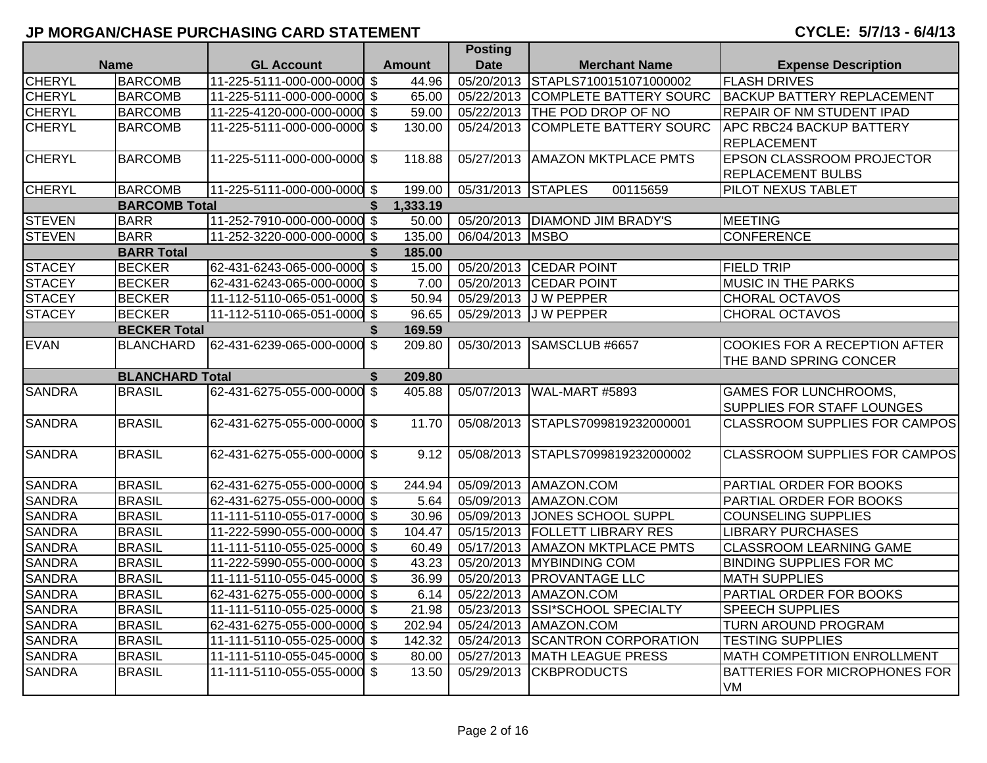|               |                        |                             |               |               | <b>Posting</b>     |                                   |                                      |
|---------------|------------------------|-----------------------------|---------------|---------------|--------------------|-----------------------------------|--------------------------------------|
|               | <b>Name</b>            | <b>GL Account</b>           |               | <b>Amount</b> | <b>Date</b>        | <b>Merchant Name</b>              | <b>Expense Description</b>           |
| <b>CHERYL</b> | <b>BARCOMB</b>         | 11-225-5111-000-000-0000 \$ |               | 44.96         | 05/20/2013         | STAPLS7100151071000002            | <b>FLASH DRIVES</b>                  |
| <b>CHERYL</b> | <b>BARCOMB</b>         | 11-225-5111-000-000-0000 \$ |               | 65.00         |                    | 05/22/2013 COMPLETE BATTERY SOURC | <b>BACKUP BATTERY REPLACEMENT</b>    |
| <b>CHERYL</b> | <b>BARCOMB</b>         | 11-225-4120-000-000-0000 \$ |               | 59.00         |                    | 05/22/2013 THE POD DROP OF NO     | REPAIR OF NM STUDENT IPAD            |
| <b>CHERYL</b> | <b>BARCOMB</b>         | 11-225-5111-000-000-0000 \$ |               | 130.00        | 05/24/2013         | <b>COMPLETE BATTERY SOURC</b>     | <b>APC RBC24 BACKUP BATTERY</b>      |
|               |                        |                             |               |               |                    |                                   | <b>REPLACEMENT</b>                   |
| <b>CHERYL</b> | <b>BARCOMB</b>         | 11-225-5111-000-000-0000 \$ |               | 118.88        | 05/27/2013         | <b>AMAZON MKTPLACE PMTS</b>       | EPSON CLASSROOM PROJECTOR            |
|               |                        |                             |               |               |                    |                                   | <b>REPLACEMENT BULBS</b>             |
| <b>CHERYL</b> | <b>BARCOMB</b>         | 11-225-5111-000-000-0000 \$ |               | 199.00        | 05/31/2013 STAPLES | 00115659                          | PILOT NEXUS TABLET                   |
|               | <b>BARCOMB Total</b>   |                             | \$            | 1.333.19      |                    |                                   |                                      |
| <b>STEVEN</b> | <b>BARR</b>            | 11-252-7910-000-000-0000 \$ |               | 50.00         |                    | 05/20/2013   DIAMOND JIM BRADY'S  | <b>MEETING</b>                       |
| <b>STEVEN</b> | <b>BARR</b>            | 11-252-3220-000-000-0000 \$ |               | 135.00        | 06/04/2013         | <b>MSBO</b>                       | <b>CONFERENCE</b>                    |
|               | <b>BARR Total</b>      |                             | \$            | 185.00        |                    |                                   |                                      |
| <b>STACEY</b> | <b>BECKER</b>          | 62-431-6243-065-000-0000 \$ |               | 15.00         |                    | 05/20/2013 CEDAR POINT            | <b>FIELD TRIP</b>                    |
| <b>STACEY</b> | <b>BECKER</b>          | 62-431-6243-065-000-0000 \$ |               | 7.00          |                    | 05/20/2013 CEDAR POINT            | <b>MUSIC IN THE PARKS</b>            |
| <b>STACEY</b> | <b>BECKER</b>          | 11-112-5110-065-051-0000 \$ |               | 50.94         | 05/29/2013         | J W PEPPER                        | <b>CHORAL OCTAVOS</b>                |
| <b>STACEY</b> | <b>BECKER</b>          | 11-112-5110-065-051-0000 \$ |               | 96.65         | 05/29/2013         | <b>JW PEPPER</b>                  | <b>CHORAL OCTAVOS</b>                |
|               | <b>BECKER Total</b>    |                             | S.            | 169.59        |                    |                                   |                                      |
| <b>EVAN</b>   | <b>BLANCHARD</b>       | 62-431-6239-065-000-0000 \$ |               | 209.80        | 05/30/2013         | SAMSCLUB #6657                    | COOKIES FOR A RECEPTION AFTER        |
|               |                        |                             |               |               |                    |                                   | THE BAND SPRING CONCER               |
|               | <b>BLANCHARD Total</b> |                             | \$            | 209.80        |                    |                                   |                                      |
| <b>SANDRA</b> | <b>BRASIL</b>          | 62-431-6275-055-000-0000    | $\sqrt[6]{3}$ | 405.88        | 05/07/2013         | WAL-MART #5893                    | <b>GAMES FOR LUNCHROOMS,</b>         |
|               |                        |                             |               |               |                    |                                   | <b>SUPPLIES FOR STAFF LOUNGES</b>    |
| <b>SANDRA</b> | <b>BRASIL</b>          | 62-431-6275-055-000-0000 \$ |               | 11.70         | 05/08/2013         | STAPLS7099819232000001            | <b>CLASSROOM SUPPLIES FOR CAMPOS</b> |
|               |                        |                             |               |               |                    |                                   |                                      |
| <b>SANDRA</b> | <b>BRASIL</b>          | 62-431-6275-055-000-0000 \$ |               | 9.12          | 05/08/2013         | STAPLS7099819232000002            | <b>CLASSROOM SUPPLIES FOR CAMPOS</b> |
|               |                        |                             |               |               |                    |                                   |                                      |
| <b>SANDRA</b> | <b>BRASIL</b>          | 62-431-6275-055-000-0000 \$ |               | 244.94        |                    | 05/09/2013 AMAZON.COM             | PARTIAL ORDER FOR BOOKS              |
| <b>SANDRA</b> | <b>BRASIL</b>          | 62-431-6275-055-000-0000 \$ |               | 5.64          |                    | 05/09/2013 AMAZON.COM             | PARTIAL ORDER FOR BOOKS              |
| <b>SANDRA</b> | <b>BRASIL</b>          | 11-111-5110-055-017-0000 \$ |               | 30.96         | 05/09/2013         | JONES SCHOOL SUPPL                | COUNSELING SUPPLIES                  |
| <b>SANDRA</b> | <b>BRASIL</b>          | 11-222-5990-055-000-0000 \$ |               | 104.47        | 05/15/2013         | <b>FOLLETT LIBRARY RES</b>        | <b>LIBRARY PURCHASES</b>             |
| <b>SANDRA</b> | <b>BRASIL</b>          | 11-111-5110-055-025-0000 \$ |               | 60.49         |                    | 05/17/2013   AMAZON MKTPLACE PMTS | <b>CLASSROOM LEARNING GAME</b>       |
| <b>SANDRA</b> | <b>BRASIL</b>          | 11-222-5990-055-000-0000 \$ |               | 43.23         |                    | 05/20/2013 MYBINDING COM          | <b>BINDING SUPPLIES FOR MC</b>       |
| <b>SANDRA</b> | <b>BRASIL</b>          | 11-111-5110-055-045-0000 \$ |               | 36.99         | 05/20/2013         | <b>PROVANTAGE LLC</b>             | <b>MATH SUPPLIES</b>                 |
| <b>SANDRA</b> | <b>BRASIL</b>          | 62-431-6275-055-000-0000 \$ |               | 6.14          |                    | 05/22/2013 AMAZON.COM             | PARTIAL ORDER FOR BOOKS              |
| <b>SANDRA</b> | <b>BRASIL</b>          | 11-111-5110-055-025-0000 \$ |               | 21.98         | 05/23/2013         | <b>SSI*SCHOOL SPECIALTY</b>       | <b>SPEECH SUPPLIES</b>               |
| <b>SANDRA</b> | <b>BRASIL</b>          | 62-431-6275-055-000-0000 \$ |               | 202.94        |                    | 05/24/2013 AMAZON.COM             | <b>TURN AROUND PROGRAM</b>           |
| <b>SANDRA</b> | <b>BRASIL</b>          | 11-111-5110-055-025-0000 \$ |               | 142.32        | 05/24/2013         | <b>SCANTRON CORPORATION</b>       | <b>TESTING SUPPLIES</b>              |
| <b>SANDRA</b> | <b>BRASIL</b>          | 11-111-5110-055-045-0000 \$ |               | 80.00         | 05/27/2013         | <b>MATH LEAGUE PRESS</b>          | <b>MATH COMPETITION ENROLLMENT</b>   |
| <b>SANDRA</b> | <b>BRASIL</b>          | 11-111-5110-055-055-0000 \$ |               | 13.50         | 05/29/2013         | <b>CKBPRODUCTS</b>                | <b>BATTERIES FOR MICROPHONES FOR</b> |
|               |                        |                             |               |               |                    |                                   | <b>VM</b>                            |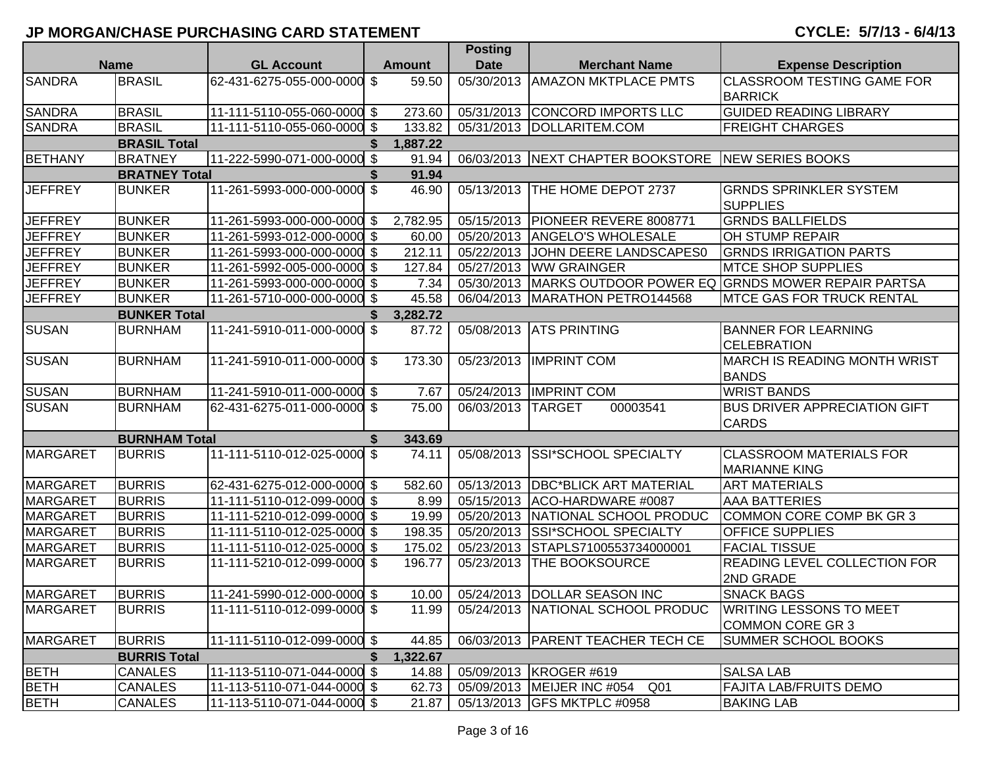|                 |                      |                             |                           | <b>Posting</b> |             |                                                    |                                                             |
|-----------------|----------------------|-----------------------------|---------------------------|----------------|-------------|----------------------------------------------------|-------------------------------------------------------------|
| <b>Name</b>     |                      | <b>GL Account</b>           |                           | <b>Amount</b>  | <b>Date</b> | <b>Merchant Name</b>                               | <b>Expense Description</b>                                  |
| <b>SANDRA</b>   | <b>BRASIL</b>        | 62-431-6275-055-000-0000    | \$                        | 59.50          | 05/30/2013  | <b>AMAZON MKTPLACE PMTS</b>                        | <b>CLASSROOM TESTING GAME FOR</b><br><b>BARRICK</b>         |
| <b>SANDRA</b>   | <b>BRASIL</b>        | 11-111-5110-055-060-0000 \$ |                           | 273.60         |             | 05/31/2013 CONCORD IMPORTS LLC                     | <b>GUIDED READING LIBRARY</b>                               |
| <b>SANDRA</b>   | <b>BRASIL</b>        | 11-111-5110-055-060-0000 \$ |                           | 133.82         |             | 05/31/2013  DOLLARITEM.COM                         | <b>FREIGHT CHARGES</b>                                      |
|                 | <b>BRASIL Total</b>  |                             | S                         | 1,887.22       |             |                                                    |                                                             |
| <b>BETHANY</b>  | <b>BRATNEY</b>       | 11-222-5990-071-000-0000 \$ |                           | 91.94          |             | 06/03/2013 NEXT CHAPTER BOOKSTORE NEW SERIES BOOKS |                                                             |
|                 | <b>BRATNEY Total</b> |                             |                           | 91.94          |             |                                                    |                                                             |
| <b>JEFFREY</b>  | <b>BUNKER</b>        | 11-261-5993-000-000-0000    | \$                        | 46.90          | 05/13/2013  | THE HOME DEPOT 2737                                | <b>GRNDS SPRINKLER SYSTEM</b><br><b>SUPPLIES</b>            |
| <b>JEFFREY</b>  | <b>BUNKER</b>        | 11-261-5993-000-000-0000 \$ |                           | 2,782.95       |             | 05/15/2013 PIONEER REVERE 8008771                  | <b>GRNDS BALLFIELDS</b>                                     |
| <b>JEFFREY</b>  | <b>BUNKER</b>        | 11-261-5993-012-000-0000 \$ |                           | 60.00          | 05/20/2013  | <b>ANGELO'S WHOLESALE</b>                          | OH STUMP REPAIR                                             |
| <b>JEFFREY</b>  | <b>BUNKER</b>        | 11-261-5993-000-000-0000 \$ |                           | 212.11         |             | 05/22/2013 JJOHN DEERE LANDSCAPES0                 | <b>GRNDS IRRIGATION PARTS</b>                               |
| <b>JEFFREY</b>  | <b>BUNKER</b>        | 11-261-5992-005-000-0000 \$ |                           | 127.84         |             | 05/27/2013 WW GRAINGER                             | <b>MTCE SHOP SUPPLIES</b>                                   |
| <b>JEFFREY</b>  | <b>BUNKER</b>        | 11-261-5993-000-000-0000 \$ |                           | 7.34           |             |                                                    | 05/30/2013 MARKS OUTDOOR POWER EQ GRNDS MOWER REPAIR PARTSA |
| <b>JEFFREY</b>  | <b>BUNKER</b>        | 11-261-5710-000-000-0000 \$ |                           | 45.58          |             | 06/04/2013   MARATHON PETRO144568                  | <b>IMTCE GAS FOR TRUCK RENTAL</b>                           |
|                 | <b>BUNKER Total</b>  |                             | \$                        | 3,282.72       |             |                                                    |                                                             |
| <b>SUSAN</b>    | <b>BURNHAM</b>       | 11-241-5910-011-000-0000    | \$                        | 87.72          | 05/08/2013  | <b>ATS PRINTING</b>                                | <b>BANNER FOR LEARNING</b><br><b>CELEBRATION</b>            |
| <b>SUSAN</b>    | <b>BURNHAM</b>       | 11-241-5910-011-000-0000 \$ |                           | 173.30         | 05/23/2013  | <b>IMPRINT COM</b>                                 | <b>MARCH IS READING MONTH WRIST</b><br><b>BANDS</b>         |
| <b>SUSAN</b>    | <b>BURNHAM</b>       | 11-241-5910-011-000-0000 \$ |                           | 7.67           | 05/24/2013  | <b>IMPRINT COM</b>                                 | <b>WRIST BANDS</b>                                          |
| <b>SUSAN</b>    | <b>BURNHAM</b>       | 62-431-6275-011-000-0000 \$ |                           | 75.00          | 06/03/2013  | <b>TARGET</b><br>00003541                          | <b>BUS DRIVER APPRECIATION GIFT</b><br><b>CARDS</b>         |
|                 | <b>BURNHAM Total</b> |                             | \$                        | 343.69         |             |                                                    |                                                             |
| <b>MARGARET</b> | <b>BURRIS</b>        | 11-111-5110-012-025-0000    | \$                        | 74.11          | 05/08/2013  | <b>SSI*SCHOOL SPECIALTY</b>                        | <b>CLASSROOM MATERIALS FOR</b><br><b>MARIANNE KING</b>      |
| <b>MARGARET</b> | <b>BURRIS</b>        | 62-431-6275-012-000-0000 \$ |                           | 582.60         |             | 05/13/2013   DBC*BLICK ART MATERIAL                | <b>ART MATERIALS</b>                                        |
| <b>MARGARET</b> | <b>BURRIS</b>        | 11-111-5110-012-099-0000 \$ |                           | 8.99           |             | 05/15/2013 ACO-HARDWARE #0087                      | <b>AAA BATTERIES</b>                                        |
| <b>MARGARET</b> | <b>BURRIS</b>        | 11-111-5210-012-099-0000 \$ |                           | 19.99          | 05/20/2013  | NATIONAL SCHOOL PRODUC                             | COMMON CORE COMP BK GR 3                                    |
| <b>MARGARET</b> | <b>BURRIS</b>        | 11-111-5110-012-025-0000    | $\boldsymbol{\mathsf{S}}$ | 198.35         | 05/20/2013  | SSI*SCHOOL SPECIALTY                               | <b>OFFICE SUPPLIES</b>                                      |
| <b>MARGARET</b> | <b>BURRIS</b>        | 11-111-5110-012-025-0000    | \$                        | 175.02         | 05/23/2013  | STAPLS7100553734000001                             | <b>FACIAL TISSUE</b>                                        |
| <b>MARGARET</b> | <b>BURRIS</b>        | 11-111-5210-012-099-0000    | \$                        | 196.77         | 05/23/2013  | THE BOOKSOURCE                                     | READING LEVEL COLLECTION FOR<br>2ND GRADE                   |
| <b>MARGARET</b> | <b>BURRIS</b>        | 11-241-5990-012-000-0000 \$ |                           | 10.00          |             | 05/24/2013  DOLLAR SEASON INC                      | <b>SNACK BAGS</b>                                           |
| <b>MARGARET</b> | <b>BURRIS</b>        | 11-111-5110-012-099-0000 \$ |                           | 11.99          |             | 05/24/2013 NATIONAL SCHOOL PRODUC                  | <b>WRITING LESSONS TO MEET</b><br>COMMON CORE GR 3          |
| <b>MARGARET</b> | <b>BURRIS</b>        | 11-111-5110-012-099-0000 \$ |                           | 44.85          |             | 06/03/2013   PARENT TEACHER TECH CE                | <b>SUMMER SCHOOL BOOKS</b>                                  |
|                 | <b>BURRIS Total</b>  |                             | S.                        | 1,322.67       |             |                                                    |                                                             |
| <b>BETH</b>     | <b>CANALES</b>       | 11-113-5110-071-044-0000 \$ |                           | 14.88          |             | 05/09/2013 KROGER #619                             | <b>SALSA LAB</b>                                            |
| <b>BETH</b>     | <b>CANALES</b>       | 11-113-5110-071-044-0000 \$ |                           | 62.73          |             | 05/09/2013 MEIJER INC #054<br>Q01                  | <b>FAJITA LAB/FRUITS DEMO</b>                               |
| <b>BETH</b>     | <b>CANALES</b>       | 11-113-5110-071-044-0000 \$ |                           | 21.87          |             | 05/13/2013 GFS MKTPLC #0958                        | <b>BAKING LAB</b>                                           |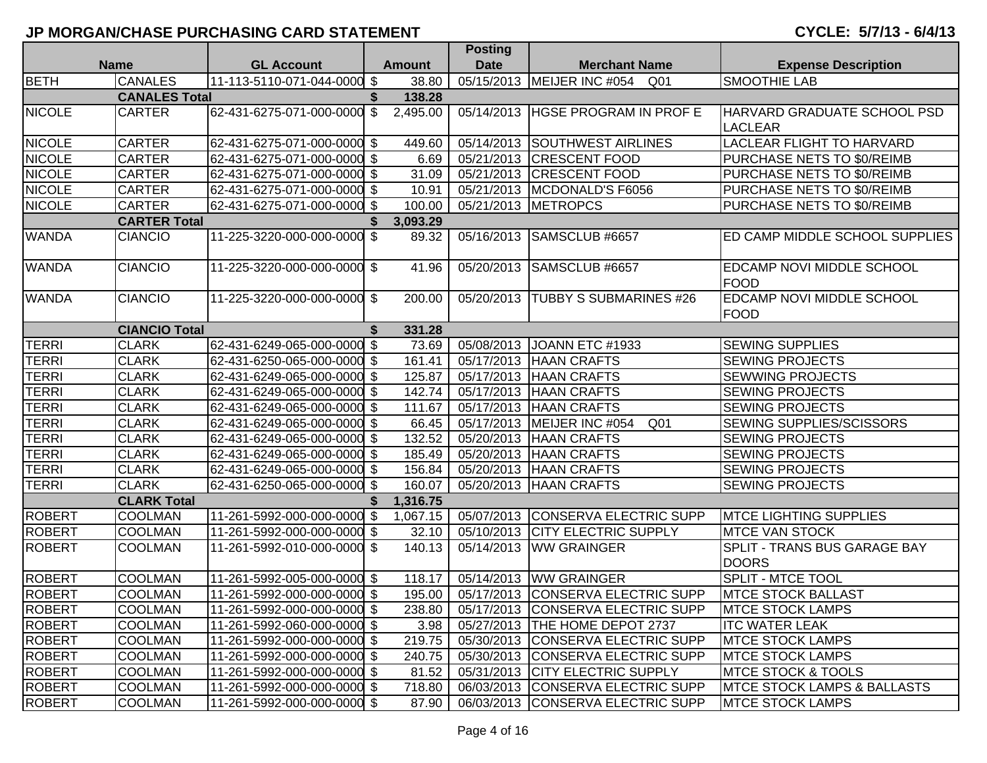|               |                      |                             |               |               | <b>Posting</b>          |                                    |                                                 |
|---------------|----------------------|-----------------------------|---------------|---------------|-------------------------|------------------------------------|-------------------------------------------------|
|               | <b>Name</b>          | <b>GL Account</b>           |               | <b>Amount</b> | <b>Date</b>             | <b>Merchant Name</b>               | <b>Expense Description</b>                      |
| <b>BETH</b>   | <b>CANALES</b>       | 11-113-5110-071-044-0000 \$ |               | 38.80         | 05/15/2013              | MEIJER INC #054<br>Q01             | <b>SMOOTHIE LAB</b>                             |
|               | <b>CANALES Total</b> |                             | \$            | 138.28        |                         |                                    |                                                 |
| <b>NICOLE</b> | <b>CARTER</b>        | 62-431-6275-071-000-0000    | $\sqrt[6]{3}$ | 2,495.00      | 05/14/2013              | <b>HGSE PROGRAM IN PROF E</b>      | HARVARD GRADUATE SCHOOL PSD<br><b>LACLEAR</b>   |
| <b>NICOLE</b> | <b>CARTER</b>        | 62-431-6275-071-000-0000 \$ |               | 449.60        | 05/14/2013              | <b>SOUTHWEST AIRLINES</b>          | <b>LACLEAR FLIGHT TO HARVARD</b>                |
| <b>NICOLE</b> | <b>CARTER</b>        | 62-431-6275-071-000-0000 \$ |               | 6.69          | 05/21/2013              | <b>CRESCENT FOOD</b>               | PURCHASE NETS TO \$0/REIMB                      |
| <b>NICOLE</b> | <b>CARTER</b>        | 62-431-6275-071-000-0000 \$ |               | 31.09         | 05/21/2013              | <b>CRESCENT FOOD</b>               | PURCHASE NETS TO \$0/REIMB                      |
| <b>NICOLE</b> | <b>CARTER</b>        | 62-431-6275-071-000-0000 \$ |               | 10.91         | 05/21/2013              | MCDONALD'S F6056                   | PURCHASE NETS TO \$0/REIMB                      |
| <b>NICOLE</b> | <b>CARTER</b>        | 62-431-6275-071-000-0000 \$ |               | 100.00        |                         | 05/21/2013 METROPCS                | PURCHASE NETS TO \$0/REIMB                      |
|               | <b>CARTER Total</b>  |                             |               | 3,093.29      |                         |                                    |                                                 |
| <b>WANDA</b>  | <b>CIANCIO</b>       | 11-225-3220-000-000-0000 \$ |               | 89.32         | 05/16/2013              | SAMSCLUB #6657                     | ED CAMP MIDDLE SCHOOL SUPPLIES                  |
| <b>WANDA</b>  | <b>CIANCIO</b>       | 11-225-3220-000-000-0000 \$ |               | 41.96         | $\overline{05}/20/2013$ | SAMSCLUB #6657                     | <b>EDCAMP NOVI MIDDLE SCHOOL</b><br>FOOD        |
| <b>WANDA</b>  | <b>CIANCIO</b>       | 11-225-3220-000-000-0000 \$ |               | 200.00        | 05/20/2013              | <b>TUBBY S SUBMARINES #26</b>      | <b>EDCAMP NOVI MIDDLE SCHOOL</b><br><b>FOOD</b> |
|               | <b>CIANCIO Total</b> |                             | \$            | 331.28        |                         |                                    |                                                 |
| <b>TERRI</b>  | <b>CLARK</b>         | 62-431-6249-065-000-0000 \$ |               | 73.69         | 05/08/2013              | JOANN ETC #1933                    | <b>SEWING SUPPLIES</b>                          |
| <b>TERRI</b>  | <b>CLARK</b>         | 62-431-6250-065-000-0000 \$ |               | 161.41        | 05/17/2013              | <b>HAAN CRAFTS</b>                 | <b>SEWING PROJECTS</b>                          |
| <b>TERRI</b>  | <b>CLARK</b>         | 62-431-6249-065-000-0000 \$ |               | 125.87        | 05/17/2013              | <b>HAAN CRAFTS</b>                 | <b>SEWWING PROJECTS</b>                         |
| <b>TERRI</b>  | <b>CLARK</b>         | 62-431-6249-065-000-0000 \$ |               | 142.74        | 05/17/2013              | <b>HAAN CRAFTS</b>                 | <b>SEWING PROJECTS</b>                          |
| TERRI         | <b>CLARK</b>         | 62-431-6249-065-000-0000 \$ |               | 111.67        | 05/17/2013              | <b>HAAN CRAFTS</b>                 | <b>SEWING PROJECTS</b>                          |
| TERRI         | <b>CLARK</b>         | 62-431-6249-065-000-0000 \$ |               | 66.45         | $\overline{05/17/2013}$ | MEIJER INC #054<br>Q <sub>01</sub> | <b>SEWING SUPPLIES/SCISSORS</b>                 |
| TERRI         | <b>CLARK</b>         | 62-431-6249-065-000-0000 \$ |               | 132.52        | 05/20/2013              | <b>HAAN CRAFTS</b>                 | <b>SEWING PROJECTS</b>                          |
| <b>TERRI</b>  | <b>CLARK</b>         | 62-431-6249-065-000-0000 \$ |               | 185.49        | 05/20/2013              | <b>HAAN CRAFTS</b>                 | <b>SEWING PROJECTS</b>                          |
| <b>TERRI</b>  | <b>CLARK</b>         | 62-431-6249-065-000-0000 \$ |               | 156.84        | 05/20/2013              | <b>HAAN CRAFTS</b>                 | <b>SEWING PROJECTS</b>                          |
| <b>TERRI</b>  | <b>CLARK</b>         | 62-431-6250-065-000-0000 \$ |               | 160.07        | 05/20/2013              | <b>HAAN CRAFTS</b>                 | <b>SEWING PROJECTS</b>                          |
|               | <b>CLARK Total</b>   |                             | \$            | 1,316.75      |                         |                                    |                                                 |
| <b>ROBERT</b> | <b>COOLMAN</b>       | 11-261-5992-000-000-0000 \$ |               | 1,067.15      |                         | 05/07/2013 CONSERVA ELECTRIC SUPP  | <b>MTCE LIGHTING SUPPLIES</b>                   |
| <b>ROBERT</b> | COOLMAN              | 11-261-5992-000-000-0000 \$ |               | 32.10         | 05/10/2013              | <b>CITY ELECTRIC SUPPLY</b>        | <b>MTCE VAN STOCK</b>                           |
| <b>ROBERT</b> | <b>COOLMAN</b>       | 11-261-5992-010-000-0000 \$ |               | 140.13        | 05/14/2013              | <b>WW GRAINGER</b>                 | SPLIT - TRANS BUS GARAGE BAY<br><b>DOORS</b>    |
| <b>ROBERT</b> | <b>COOLMAN</b>       | 11-261-5992-005-000-0000 \$ |               | 118.17        | 05/14/2013              | <b>WW GRAINGER</b>                 | <b>SPLIT - MTCE TOOL</b>                        |
| <b>ROBERT</b> | <b>COOLMAN</b>       | 11-261-5992-000-000-0000 \$ |               | 195.00        | 05/17/2013              | CONSERVA ELECTRIC SUPP             | <b>MTCE STOCK BALLAST</b>                       |
| <b>ROBERT</b> | COOLMAN              | 11-261-5992-000-000-0000 \$ |               | 238.80        |                         | 05/17/2013 CONSERVA ELECTRIC SUPP  | <b>MTCE STOCK LAMPS</b>                         |
| <b>ROBERT</b> | <b>COOLMAN</b>       | 11-261-5992-060-000-0000 \$ |               | 3.98          |                         | 05/27/2013  THE HOME DEPOT 2737    | <b>ITC WATER LEAK</b>                           |
| <b>ROBERT</b> | <b>COOLMAN</b>       | 11-261-5992-000-000-0000 \$ |               | 219.75        |                         | 05/30/2013 CONSERVA ELECTRIC SUPP  | <b>MTCE STOCK LAMPS</b>                         |
| <b>ROBERT</b> | <b>COOLMAN</b>       | 11-261-5992-000-000-0000 \$ |               | 240.75        |                         | 05/30/2013 CONSERVA ELECTRIC SUPP  | <b>MTCE STOCK LAMPS</b>                         |
| <b>ROBERT</b> | <b>COOLMAN</b>       | 11-261-5992-000-000-0000 \$ |               | 81.52         |                         | 05/31/2013 CITY ELECTRIC SUPPLY    | <b>MTCE STOCK &amp; TOOLS</b>                   |
| <b>ROBERT</b> | <b>COOLMAN</b>       | 11-261-5992-000-000-0000 \$ |               | 718.80        |                         | 06/03/2013 CONSERVA ELECTRIC SUPP  | <b>MTCE STOCK LAMPS &amp; BALLASTS</b>          |
| <b>ROBERT</b> | <b>COOLMAN</b>       | 11-261-5992-000-000-0000 \$ |               | 87.90         |                         | 06/03/2013 CONSERVA ELECTRIC SUPP  | <b>MTCE STOCK LAMPS</b>                         |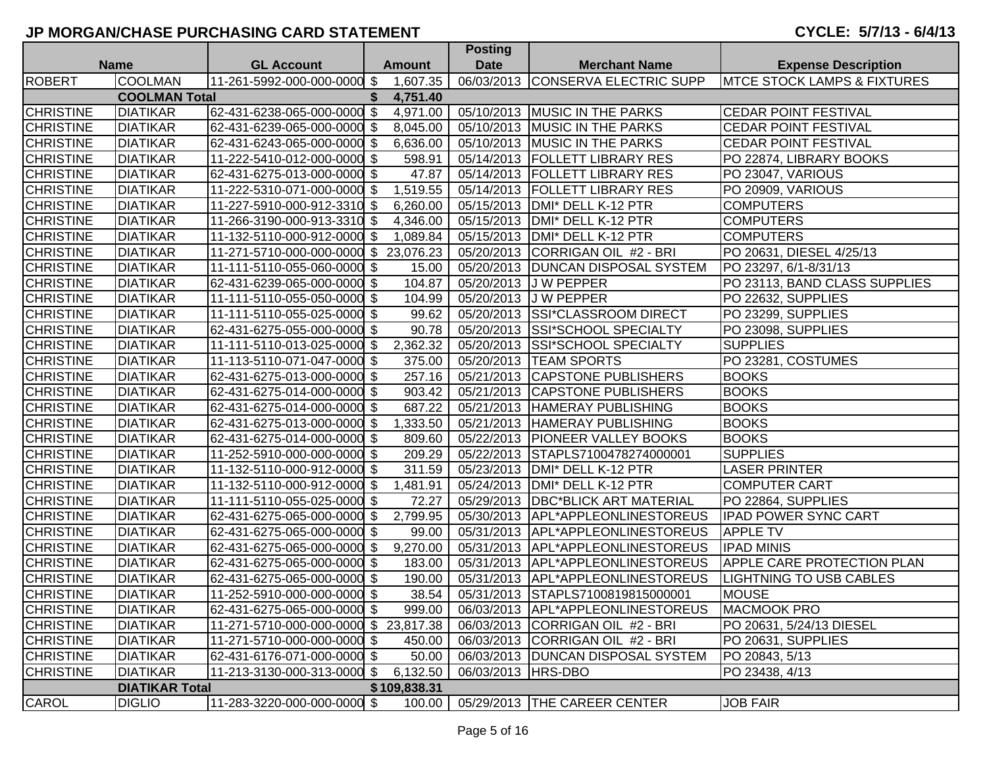# **CYCLE: 5/7/13 - 6/4/13**

|                  |                       |                                       |    |                   | <b>POSUNG</b>      |                                     |                                         |
|------------------|-----------------------|---------------------------------------|----|-------------------|--------------------|-------------------------------------|-----------------------------------------|
|                  | <b>Name</b>           | <b>GL Account</b>                     |    | <b>Amount</b>     | <b>Date</b>        | <b>Merchant Name</b>                | <b>Expense Description</b>              |
| <b>ROBERT</b>    | <b>COOLMAN</b>        | 11-261-5992-000-000-0000 \$           |    | 1,607.35          |                    | 06/03/2013 CONSERVA ELECTRIC SUPP   | <b>IMTCE STOCK LAMPS &amp; FIXTURES</b> |
|                  | <b>COOLMAN Total</b>  |                                       | S. | 4,751.40          |                    |                                     |                                         |
| <b>CHRISTINE</b> | <b>DIATIKAR</b>       | 62-431-6238-065-000-0000 \$           |    | 4,971.00          |                    | 05/10/2013 MUSIC IN THE PARKS       | <b>CEDAR POINT FESTIVAL</b>             |
| <b>CHRISTINE</b> | <b>DIATIKAR</b>       | 62-431-6239-065-000-0000 \$           |    | 8,045.00          |                    | 05/10/2013 MUSIC IN THE PARKS       | <b>CEDAR POINT FESTIVAL</b>             |
| <b>CHRISTINE</b> | <b>DIATIKAR</b>       | 62-431-6243-065-000-0000 \$           |    | 6,636.00          |                    | 05/10/2013 MUSIC IN THE PARKS       | <b>CEDAR POINT FESTIVAL</b>             |
| <b>CHRISTINE</b> | <b>DIATIKAR</b>       | 11-222-5410-012-000-0000 \$           |    | 598.91            |                    | 05/14/2013   FOLLETT LIBRARY RES    | PO 22874, LIBRARY BOOKS                 |
| <b>CHRISTINE</b> | <b>DIATIKAR</b>       | 62-431-6275-013-000-0000 \$           |    | 47.87             |                    | 05/14/2013   FOLLETT LIBRARY RES    | PO 23047, VARIOUS                       |
| <b>CHRISTINE</b> | <b>DIATIKAR</b>       | 11-222-5310-071-000-0000 \$           |    | 1,519.55          |                    | 05/14/2013   FOLLETT LIBRARY RES    | PO 20909, VARIOUS                       |
| <b>CHRISTINE</b> | <b>DIATIKAR</b>       | 11-227-5910-000-912-3310 \$           |    | 6,260.00          |                    | 05/15/2013   DMI* DELL K-12 PTR     | <b>COMPUTERS</b>                        |
| <b>CHRISTINE</b> | <b>DIATIKAR</b>       | 11-266-3190-000-913-3310 \$           |    | 4,346.00          | 05/15/2013         | DMI* DELL K-12 PTR                  | <b>COMPUTERS</b>                        |
| <b>CHRISTINE</b> | <b>DIATIKAR</b>       | 11-132-5110-000-912-0000 \$           |    | 1,089.84          | 05/15/2013         | DMI* DELL K-12 PTR                  | <b>COMPUTERS</b>                        |
| <b>CHRISTINE</b> | <b>DIATIKAR</b>       | 11-271-5710-000-000-0000 \$ 23,076.23 |    |                   | 05/20/2013         | CORRIGAN OIL #2 - BRI               | PO 20631, DIESEL 4/25/13                |
| <b>CHRISTINE</b> | <b>DIATIKAR</b>       | 11-111-5110-055-060-0000 \$           |    | 15.00             | 05/20/2013         | <b>DUNCAN DISPOSAL SYSTEM</b>       | PO 23297, 6/1-8/31/13                   |
| <b>CHRISTINE</b> | <b>DIATIKAR</b>       | 62-431-6239-065-000-0000 \$           |    | 104.87            |                    | 05/20/2013 J W PEPPER               | PO 23113, BAND CLASS SUPPLIES           |
| <b>CHRISTINE</b> | <b>DIATIKAR</b>       | 11-111-5110-055-050-0000 \$           |    | 104.99            |                    | 05/20/2013 J W PEPPER               | PO 22632, SUPPLIES                      |
| <b>CHRISTINE</b> | <b>DIATIKAR</b>       | 11-111-5110-055-025-0000 \$           |    | 99.62             |                    | 05/20/2013 SSI*CLASSROOM DIRECT     | PO 23299, SUPPLIES                      |
| <b>CHRISTINE</b> | <b>DIATIKAR</b>       | 62-431-6275-055-000-0000 \$           |    | 90.78             |                    | 05/20/2013 SSI*SCHOOL SPECIALTY     | PO 23098, SUPPLIES                      |
| <b>CHRISTINE</b> | <b>DIATIKAR</b>       | 11-111-5110-013-025-0000 \$           |    | 2,362.32          |                    | 05/20/2013 SSI*SCHOOL SPECIALTY     | <b>SUPPLIES</b>                         |
| <b>CHRISTINE</b> | <b>DIATIKAR</b>       | 11-113-5110-071-047-0000 \$           |    | 375.00            |                    | 05/20/2013  TEAM SPORTS             | PO 23281, COSTUMES                      |
| <b>CHRISTINE</b> | <b>DIATIKAR</b>       | 62-431-6275-013-000-0000 \$           |    | 257.16            |                    | 05/21/2013 CAPSTONE PUBLISHERS      | <b>BOOKS</b>                            |
| <b>CHRISTINE</b> | <b>DIATIKAR</b>       | 62-431-6275-014-000-0000 \$           |    | 903.42            |                    | 05/21/2013 CAPSTONE PUBLISHERS      | <b>BOOKS</b>                            |
| <b>CHRISTINE</b> | <b>DIATIKAR</b>       | 62-431-6275-014-000-0000 \$           |    | 687.22            |                    | 05/21/2013 HAMERAY PUBLISHING       | <b>BOOKS</b>                            |
| <b>CHRISTINE</b> | <b>DIATIKAR</b>       | 62-431-6275-013-000-0000 \$           |    | 1,333.50          |                    | 05/21/2013 HAMERAY PUBLISHING       | <b>BOOKS</b>                            |
| <b>CHRISTINE</b> | <b>DIATIKAR</b>       | 62-431-6275-014-000-0000              | \$ | 809.60            | 05/22/2013         | <b>PIONEER VALLEY BOOKS</b>         | <b>BOOKS</b>                            |
| <b>CHRISTINE</b> | <b>DIATIKAR</b>       | 11-252-5910-000-000-0000 \$           |    | 209.29            | 05/22/2013         | STAPLS7100478274000001              | <b>SUPPLIES</b>                         |
| <b>CHRISTINE</b> | <b>DIATIKAR</b>       | 11-132-5110-000-912-0000 \$           |    | 311.59            | 05/23/2013         | DMI* DELL K-12 PTR                  | <b>LASER PRINTER</b>                    |
| <b>CHRISTINE</b> | <b>DIATIKAR</b>       | 11-132-5110-000-912-0000 \$           |    | 1,481.91          | 05/24/2013         | DMI* DELL K-12 PTR                  | <b>COMPUTER CART</b>                    |
| <b>CHRISTINE</b> | <b>DIATIKAR</b>       | 11-111-5110-055-025-0000 \$           |    | 72.27             |                    | 05/29/2013   DBC*BLICK ART MATERIAL | PO 22864, SUPPLIES                      |
| <b>CHRISTINE</b> | <b>DIATIKAR</b>       | 62-431-6275-065-000-0000 \$           |    | 2,799.95          |                    | 05/30/2013   APL*APPLEONLINESTOREUS | <b>IPAD POWER SYNC CART</b>             |
| <b>CHRISTINE</b> | <b>DIATIKAR</b>       | 62-431-6275-065-000-0000 \$           |    | 99.00             |                    | 05/31/2013 APL*APPLEONLINESTOREUS   | <b>APPLE TV</b>                         |
| <b>CHRISTINE</b> | <b>DIATIKAR</b>       | 62-431-6275-065-000-0000 \$           |    | $\sqrt{9,270.00}$ |                    | 05/31/2013 APL*APPLEONLINESTOREUS   | <b>IPAD MINIS</b>                       |
| <b>CHRISTINE</b> | <b>DIATIKAR</b>       | 62-431-6275-065-000-0000 \$           |    | 183.00            |                    | 05/31/2013 APL*APPLEONLINESTOREUS   | <b>APPLE CARE PROTECTION PLAN</b>       |
| <b>CHRISTINE</b> | <b>DIATIKAR</b>       | 62-431-6275-065-000-0000 \$           |    | 190.00            |                    | 05/31/2013 APL*APPLEONLINESTOREUS   | <b>LIGHTNING TO USB CABLES</b>          |
| <b>CHRISTINE</b> | <b>DIATIKAR</b>       | 11-252-5910-000-000-0000 \$           |    | 38.54             |                    | 05/31/2013 STAPLS7100819815000001   | <b>MOUSE</b>                            |
| <b>CHRISTINE</b> | <b>DIATIKAR</b>       | 62-431-6275-065-000-0000 \$           |    | 999.00            |                    | 06/03/2013 APL*APPLEONLINESTOREUS   | MACMOOK PRO                             |
| <b>CHRISTINE</b> | <b>DIATIKAR</b>       | 11-271-5710-000-000-0000 \$ 23,817.38 |    |                   |                    | 06/03/2013 CORRIGAN OIL #2 - BRI    | PO 20631, 5/24/13 DIESEL                |
| <b>CHRISTINE</b> | <b>DIATIKAR</b>       | 11-271-5710-000-000-0000 \$           |    | 450.00            |                    | 06/03/2013 CORRIGAN OIL #2 - BRI    | PO 20631, SUPPLIES                      |
| <b>CHRISTINE</b> | <b>DIATIKAR</b>       | 62-431-6176-071-000-0000 \$           |    | 50.00             |                    | 06/03/2013   DUNCAN DISPOSAL SYSTEM | PO 20843, 5/13                          |
| <b>CHRISTINE</b> | <b>DIATIKAR</b>       | 11-213-3130-000-313-0000 \$           |    | 6,132.50          | 06/03/2013 HRS-DBO |                                     | PO 23438, 4/13                          |
|                  | <b>DIATIKAR Total</b> |                                       |    | \$109,838.31      |                    |                                     |                                         |
| <b>CAROL</b>     | <b>DIGLIO</b>         | 11-283-3220-000-000-0000 \$           |    | 100.00            |                    | 05/29/2013 THE CAREER CENTER        | <b>JOB FAIR</b>                         |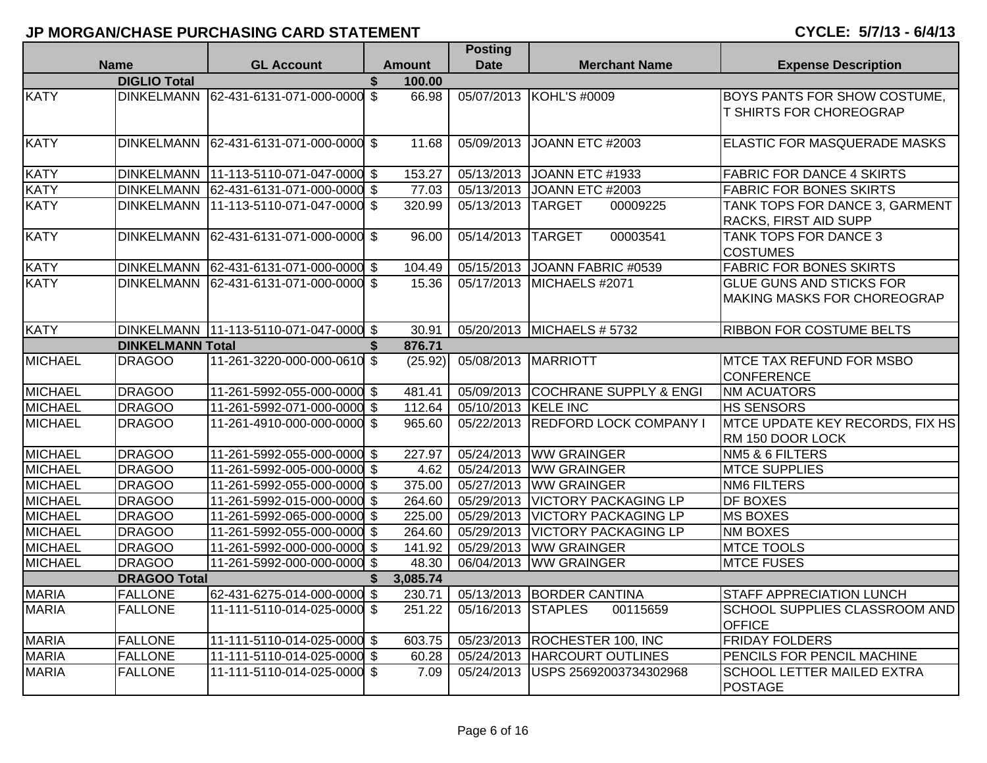|                |                         |                                        |     |               | <b>Posting</b>          |                                   |                                                                       |
|----------------|-------------------------|----------------------------------------|-----|---------------|-------------------------|-----------------------------------|-----------------------------------------------------------------------|
|                | <b>Name</b>             | <b>GL Account</b>                      |     | <b>Amount</b> | <b>Date</b>             | <b>Merchant Name</b>              | <b>Expense Description</b>                                            |
|                | <b>DIGLIO Total</b>     |                                        |     | 100.00        |                         |                                   |                                                                       |
| <b>KATY</b>    |                         | DINKELMANN 62-431-6131-071-000-0000 \$ |     | 66.98         |                         | 05/07/2013 KOHL'S #0009           | BOYS PANTS FOR SHOW COSTUME,                                          |
|                |                         |                                        |     |               |                         |                                   | T SHIRTS FOR CHOREOGRAP                                               |
| <b>KATY</b>    | <b>DINKELMANN</b>       | 62-431-6131-071-000-0000 \$            |     | 11.68         | 05/09/2013              | JOANN ETC #2003                   | ELASTIC FOR MASQUERADE MASKS                                          |
| <b>KATY</b>    |                         | DINKELMANN 11-113-5110-071-047-0000 \$ |     | 153.27        |                         | 05/13/2013 JOANN ETC #1933        | <b>FABRIC FOR DANCE 4 SKIRTS</b>                                      |
| <b>KATY</b>    | DINKELMANN              | 62-431-6131-071-000-0000 \$            |     | 77.03         | 05/13/2013              | JOANN ETC #2003                   | <b>FABRIC FOR BONES SKIRTS</b>                                        |
| <b>KATY</b>    |                         | DINKELMANN 11-113-5110-071-047-0000 \$ |     | 320.99        | $\overline{05/13/2013}$ | <b>TARGET</b><br>00009225         | TANK TOPS FOR DANCE 3, GARMENT<br>RACKS, FIRST AID SUPP               |
| <b>KATY</b>    | <b>DINKELMANN</b>       | 62-431-6131-071-000-0000 \$            |     | 96.00         | $\overline{05}/14/2013$ | <b>TARGET</b><br>00003541         | TANK TOPS FOR DANCE 3<br><b>COSTUMES</b>                              |
| <b>KATY</b>    |                         | DINKELMANN 62-431-6131-071-000-0000 \$ |     | 104.49        | 05/15/2013              | JOANN FABRIC #0539                | <b>FABRIC FOR BONES SKIRTS</b>                                        |
| <b>KATY</b>    |                         | DINKELMANN 62-431-6131-071-000-0000 \$ |     | 15.36         | 05/17/2013              | MICHAELS #2071                    | <b>GLUE GUNS AND STICKS FOR</b><br><b>MAKING MASKS FOR CHOREOGRAP</b> |
| <b>KATY</b>    |                         | DINKELMANN 11-113-5110-071-047-0000 \$ |     | 30.91         |                         | 05/20/2013 MICHAELS # 5732        | <b>RIBBON FOR COSTUME BELTS</b>                                       |
|                | <b>DINKELMANN Total</b> |                                        | \$  | 876.71        |                         |                                   |                                                                       |
| <b>MICHAEL</b> | <b>DRAGOO</b>           | 11-261-3220-000-000-0610 \$            |     | (25.92)       | 05/08/2013              | MARRIOTT                          | <b>MTCE TAX REFUND FOR MSBO</b><br><b>CONFERENCE</b>                  |
| <b>MICHAEL</b> | <b>DRAGOO</b>           | 11-261-5992-055-000-0000 \$            |     | 481.41        |                         | 05/09/2013 COCHRANE SUPPLY & ENGI | <b>NM ACUATORS</b>                                                    |
| <b>MICHAEL</b> | <b>DRAGOO</b>           | 11-261-5992-071-000-0000 \$            |     | 112.64        | 05/10/2013 KELE INC     |                                   | <b>HS SENSORS</b>                                                     |
| <b>MICHAEL</b> | <b>DRAGOO</b>           | 11-261-4910-000-000-0000 \$            |     | 965.60        | 05/22/2013              | <b>REDFORD LOCK COMPANY I</b>     | <b>MTCE UPDATE KEY RECORDS, FIX HS</b><br>RM 150 DOOR LOCK            |
| <b>MICHAEL</b> | <b>DRAGOO</b>           | 11-261-5992-055-000-0000 \$            |     | 227.97        |                         | 05/24/2013 WW GRAINGER            | NM5 & 6 FILTERS                                                       |
| <b>MICHAEL</b> | <b>DRAGOO</b>           | 11-261-5992-005-000-0000 \$            |     | 4.62          | 05/24/2013              | <b>WW GRAINGER</b>                | <b>MTCE SUPPLIES</b>                                                  |
| <b>MICHAEL</b> | <b>DRAGOO</b>           | 11-261-5992-055-000-0000 \$            |     | 375.00        |                         | 05/27/2013 WW GRAINGER            | <b>NM6 FILTERS</b>                                                    |
| <b>MICHAEL</b> | <b>DRAGOO</b>           | 11-261-5992-015-000-0000 \$            |     | 264.60        |                         | 05/29/2013 VICTORY PACKAGING LP   | <b>DF BOXES</b>                                                       |
| <b>MICHAEL</b> | <b>DRAGOO</b>           | 11-261-5992-065-000-0000 \$            |     | 225.00        |                         | 05/29/2013   VICTORY PACKAGING LP | <b>MS BOXES</b>                                                       |
| <b>MICHAEL</b> | <b>DRAGOO</b>           | 11-261-5992-055-000-0000 \$            |     | 264.60        |                         | 05/29/2013   VICTORY PACKAGING LP | <b>NM BOXES</b>                                                       |
| <b>MICHAEL</b> | <b>DRAGOO</b>           | 11-261-5992-000-000-0000 \$            |     | 141.92        |                         | 05/29/2013 WW GRAINGER            | <b>MTCE TOOLS</b>                                                     |
| <b>MICHAEL</b> | <b>DRAGOO</b>           | 11-261-5992-000-000-0000 \$            |     | 48.30         | 06/04/2013              | <b>WW GRAINGER</b>                | <b>MTCE FUSES</b>                                                     |
|                | <b>DRAGOO Total</b>     |                                        | \$. | 3,085.74      |                         |                                   |                                                                       |
| <b>MARIA</b>   | <b>FALLONE</b>          | 62-431-6275-014-000-0000 \$            |     | 230.71        |                         | 05/13/2013 BORDER CANTINA         | <b>STAFF APPRECIATION LUNCH</b>                                       |
| <b>MARIA</b>   | <b>FALLONE</b>          | 11-111-5110-014-025-0000 \$            |     | 251.22        | 05/16/2013              | <b>STAPLES</b><br>00115659        | SCHOOL SUPPLIES CLASSROOM AND<br><b>OFFICE</b>                        |
| <b>MARIA</b>   | <b>FALLONE</b>          | 11-111-5110-014-025-0000 \$            |     | 603.75        |                         | 05/23/2013 ROCHESTER 100, INC     | <b>FRIDAY FOLDERS</b>                                                 |
| <b>MARIA</b>   | <b>FALLONE</b>          | 11-111-5110-014-025-0000 \$            |     | 60.28         | 05/24/2013              | <b>HARCOURT OUTLINES</b>          | PENCILS FOR PENCIL MACHINE                                            |
| <b>MARIA</b>   | <b>FALLONE</b>          | 11-111-5110-014-025-0000 \$            |     | 7.09          | 05/24/2013              | USPS 25692003734302968            | <b>SCHOOL LETTER MAILED EXTRA</b><br>POSTAGE                          |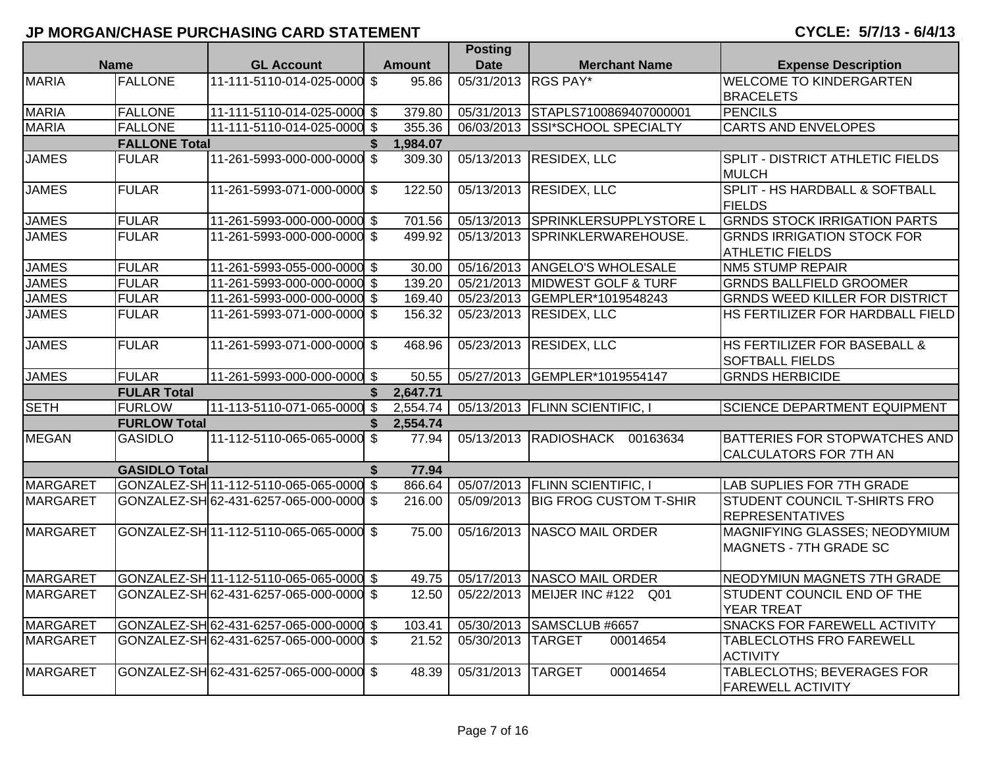|                 |                      |                                         |    |               | <b>Posting</b>      |                                   |                                         |
|-----------------|----------------------|-----------------------------------------|----|---------------|---------------------|-----------------------------------|-----------------------------------------|
|                 | <b>Name</b>          | <b>GL Account</b>                       |    | <b>Amount</b> | <b>Date</b>         | <b>Merchant Name</b>              | <b>Expense Description</b>              |
| <b>MARIA</b>    | <b>FALLONE</b>       | 11-111-5110-014-025-0000                | \$ | 95.86         | 05/31/2013 RGS PAY* |                                   | <b>WELCOME TO KINDERGARTEN</b>          |
|                 |                      |                                         |    |               |                     |                                   | <b>BRACELETS</b>                        |
| <b>MARIA</b>    | <b>FALLONE</b>       | 11-111-5110-014-025-0000 \$             |    | 379.80        |                     | 05/31/2013 STAPLS7100869407000001 | <b>PENCILS</b>                          |
| <b>MARIA</b>    | <b>FALLONE</b>       | 11-111-5110-014-025-0000 \$             |    | 355.36        |                     | 06/03/2013 SSI*SCHOOL SPECIALTY   | <b>CARTS AND ENVELOPES</b>              |
|                 | <b>FALLONE Total</b> |                                         | \$ | 1,984.07      |                     |                                   |                                         |
| <b>JAMES</b>    | <b>FULAR</b>         | 11-261-5993-000-000-0000 \$             |    | 309.30        |                     | 05/13/2013 RESIDEX, LLC           | <b>SPLIT - DISTRICT ATHLETIC FIELDS</b> |
|                 |                      |                                         |    |               |                     |                                   | <b>MULCH</b>                            |
| <b>JAMES</b>    | <b>FULAR</b>         | 11-261-5993-071-000-0000 \$             |    | 122.50        |                     | 05/13/2013 RESIDEX, LLC           | SPLIT - HS HARDBALL & SOFTBALL          |
|                 |                      |                                         |    |               |                     |                                   | <b>FIELDS</b>                           |
| <b>JAMES</b>    | <b>FULAR</b>         | 11-261-5993-000-000-0000 \$             |    | 701.56        |                     | 05/13/2013 SPRINKLERSUPPLYSTORE L | <b>GRNDS STOCK IRRIGATION PARTS</b>     |
| <b>JAMES</b>    | <b>FULAR</b>         | 11-261-5993-000-000-0000 \$             |    | 499.92        |                     | 05/13/2013 SPRINKLERWAREHOUSE.    | <b>GRNDS IRRIGATION STOCK FOR</b>       |
|                 |                      |                                         |    |               |                     |                                   | <b>ATHLETIC FIELDS</b>                  |
| <b>JAMES</b>    | <b>FULAR</b>         | 11-261-5993-055-000-0000 \$             |    | 30.00         |                     | 05/16/2013 ANGELO'S WHOLESALE     | <b>NM5 STUMP REPAIR</b>                 |
| <b>JAMES</b>    | <b>FULAR</b>         | 11-261-5993-000-000-0000 \$             |    | 139.20        |                     | 05/21/2013 MIDWEST GOLF & TURF    | <b>GRNDS BALLFIELD GROOMER</b>          |
| <b>JAMES</b>    | <b>FULAR</b>         | 11-261-5993-000-000-0000 \$             |    | 169.40        |                     | 05/23/2013 GEMPLER*1019548243     | <b>GRNDS WEED KILLER FOR DISTRICT</b>   |
| <b>JAMES</b>    | <b>FULAR</b>         | 11-261-5993-071-000-0000 \$             |    | 156.32        |                     | 05/23/2013 RESIDEX, LLC           | HS FERTILIZER FOR HARDBALL FIELD        |
|                 |                      |                                         |    |               |                     |                                   |                                         |
| <b>JAMES</b>    | <b>FULAR</b>         | 11-261-5993-071-000-0000 \$             |    | 468.96        |                     | 05/23/2013 RESIDEX, LLC           | <b>HS FERTILIZER FOR BASEBALL &amp;</b> |
|                 |                      |                                         |    |               |                     |                                   | <b>SOFTBALL FIELDS</b>                  |
| <b>JAMES</b>    | <b>FULAR</b>         | 11-261-5993-000-000-0000 \$             |    | 50.55         |                     | 05/27/2013 GEMPLER*1019554147     | <b>GRNDS HERBICIDE</b>                  |
|                 | <b>FULAR Total</b>   |                                         | \$ | 2,647.71      |                     |                                   |                                         |
| <b>SETH</b>     | <b>FURLOW</b>        | 11-113-5110-071-065-0000 \$             |    | 2,554.74      |                     | 05/13/2013 FLINN SCIENTIFIC, I    | <b>SCIENCE DEPARTMENT EQUIPMENT</b>     |
|                 | <b>FURLOW Total</b>  |                                         | \$ | 2,554.74      |                     |                                   |                                         |
| <b>MEGAN</b>    | <b>GASIDLO</b>       | 11-112-5110-065-065-0000 \$             |    | 77.94         |                     | 05/13/2013 RADIOSHACK 00163634    | <b>BATTERIES FOR STOPWATCHES AND</b>    |
|                 |                      |                                         |    |               |                     |                                   | CALCULATORS FOR 7TH AN                  |
|                 | <b>GASIDLO Total</b> |                                         | \$ | 77.94         |                     |                                   |                                         |
| <b>MARGARET</b> |                      | GONZALEZ-SH 11-112-5110-065-065-0000 \$ |    | 866.64        |                     | 05/07/2013 FLINN SCIENTIFIC, I    | <b>LAB SUPLIES FOR 7TH GRADE</b>        |
| <b>MARGARET</b> |                      | GONZALEZ-SH 62-431-6257-065-000-0000 \$ |    | 216.00        |                     | 05/09/2013 BIG FROG CUSTOM T-SHIR | <b>STUDENT COUNCIL T-SHIRTS FRO</b>     |
|                 |                      |                                         |    |               |                     |                                   | <b>REPRESENTATIVES</b>                  |
| <b>MARGARET</b> |                      | GONZALEZ-SH 11-112-5110-065-065-0000 \$ |    | 75.00         |                     | 05/16/2013 NASCO MAIL ORDER       | MAGNIFYING GLASSES; NEODYMIUM           |
|                 |                      |                                         |    |               |                     |                                   | MAGNETS - 7TH GRADE SC                  |
|                 |                      |                                         |    |               |                     |                                   |                                         |
| <b>MARGARET</b> |                      | GONZALEZ-SH 11-112-5110-065-065-0000 \$ |    | 49.75         |                     | 05/17/2013 NASCO MAIL ORDER       | NEODYMIUN MAGNETS 7TH GRADE             |
| <b>MARGARET</b> |                      | GONZALEZ-SH 62-431-6257-065-000-0000 \$ |    | 12.50         |                     | 05/22/2013 MEIJER INC #122 Q01    | STUDENT COUNCIL END OF THE              |
|                 |                      |                                         |    |               |                     |                                   | <b>YEAR TREAT</b>                       |
| <b>MARGARET</b> |                      | GONZALEZ-SH 62-431-6257-065-000-0000 \$ |    | 103.41        |                     | 05/30/2013 SAMSCLUB #6657         | <b>SNACKS FOR FAREWELL ACTIVITY</b>     |
| <b>MARGARET</b> |                      | GONZALEZ-SH 62-431-6257-065-000-0000 \$ |    | 21.52         | 05/30/2013 TARGET   | 00014654                          | <b>TABLECLOTHS FRO FAREWELL</b>         |
|                 |                      |                                         |    |               |                     |                                   | <b>ACTIVITY</b>                         |
| <b>MARGARET</b> |                      | GONZALEZ-SH 62-431-6257-065-000-0000 \$ |    | 48.39         | 05/31/2013          | <b>TARGET</b><br>00014654         | TABLECLOTHS; BEVERAGES FOR              |
|                 |                      |                                         |    |               |                     |                                   | <b>FAREWELL ACTIVITY</b>                |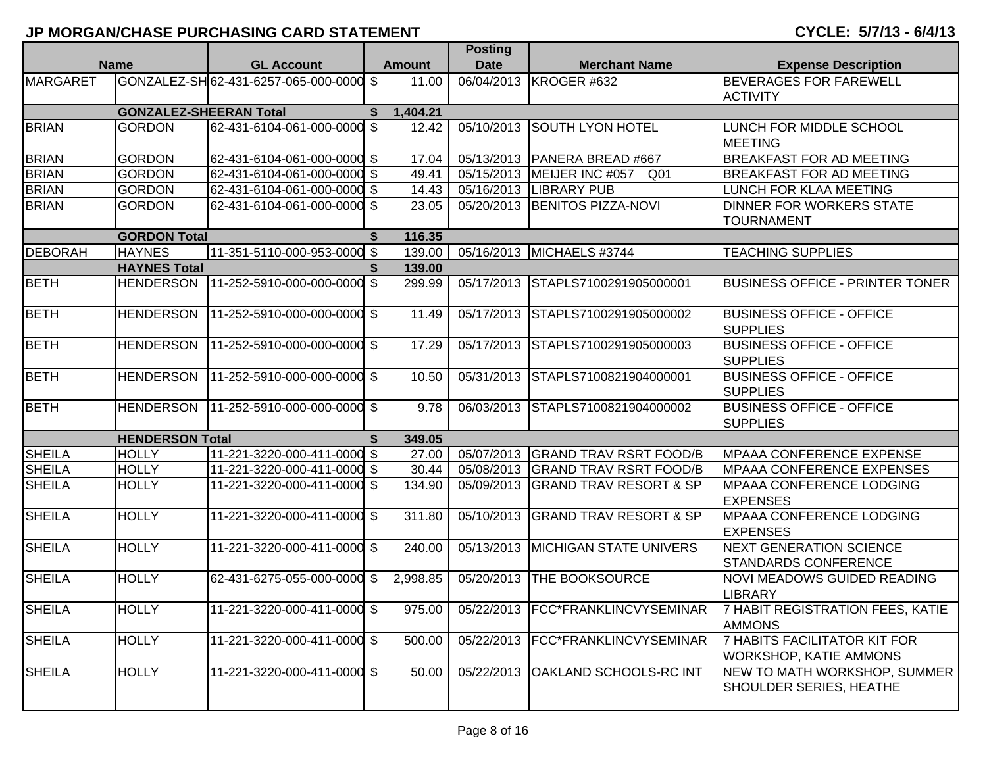|                 |                               |                                      |      |               | <b>Posting</b> |                                     |                                                                      |
|-----------------|-------------------------------|--------------------------------------|------|---------------|----------------|-------------------------------------|----------------------------------------------------------------------|
|                 | <b>Name</b>                   | <b>GL Account</b>                    |      | <b>Amount</b> | <b>Date</b>    | <b>Merchant Name</b>                | <b>Expense Description</b>                                           |
| <b>MARGARET</b> |                               | GONZALEZ-SH 62-431-6257-065-000-0000 | \$   | 11.00         | 06/04/2013     | KROGER #632                         | <b>BEVERAGES FOR FAREWELL</b><br><b>ACTIVITY</b>                     |
|                 | <b>GONZALEZ-SHEERAN Total</b> |                                      | S.   | 1,404.21      |                |                                     |                                                                      |
| <b>BRIAN</b>    | <b>GORDON</b>                 | 62-431-6104-061-000-0000             | \$   | 12.42         | 05/10/2013     | <b>SOUTH LYON HOTEL</b>             | LUNCH FOR MIDDLE SCHOOL<br><b>MEETING</b>                            |
| <b>BRIAN</b>    | <b>GORDON</b>                 | 62-431-6104-061-000-0000 \$          |      | 17.04         |                | 05/13/2013   PANERA BREAD #667      | <b>BREAKFAST FOR AD MEETING</b>                                      |
| <b>BRIAN</b>    | <b>GORDON</b>                 | 62-431-6104-061-000-0000 \$          |      | 49.41         | 05/15/2013     | MEIJER INC #057<br>Q01              | <b>BREAKFAST FOR AD MEETING</b>                                      |
| <b>BRIAN</b>    | <b>GORDON</b>                 | 62-431-6104-061-000-0000 \$          |      | 14.43         | 05/16/2013     | <b>LIBRARY PUB</b>                  | LUNCH FOR KLAA MEETING                                               |
| <b>BRIAN</b>    | <b>GORDON</b>                 | 62-431-6104-061-000-0000 \$          |      | 23.05         | 05/20/2013     | <b>BENITOS PIZZA-NOVI</b>           | <b>DINNER FOR WORKERS STATE</b><br><b>TOURNAMENT</b>                 |
|                 | <b>GORDON Total</b>           |                                      | \$   | 116.35        |                |                                     |                                                                      |
| <b>DEBORAH</b>  | <b>HAYNES</b>                 | 11-351-5110-000-953-0000 \$          |      | 139.00        | 05/16/2013     | MICHAELS #3744                      | <b>TEACHING SUPPLIES</b>                                             |
|                 | <b>HAYNES Total</b>           |                                      |      | 139.00        |                |                                     |                                                                      |
| <b>BETH</b>     | <b>HENDERSON</b>              | 11-252-5910-000-000-0000 \$          |      | 299.99        | 05/17/2013     | STAPLS7100291905000001              | <b>BUSINESS OFFICE - PRINTER TONER</b>                               |
| <b>BETH</b>     | <b>HENDERSON</b>              | 11-252-5910-000-000-0000 \$          |      | 11.49         | 05/17/2013     | STAPLS7100291905000002              | <b>BUSINESS OFFICE - OFFICE</b><br><b>SUPPLIES</b>                   |
| <b>BETH</b>     | <b>HENDERSON</b>              | 11-252-5910-000-000-0000 \$          |      | 17.29         | 05/17/2013     | STAPLS7100291905000003              | <b>BUSINESS OFFICE - OFFICE</b><br><b>SUPPLIES</b>                   |
| <b>BETH</b>     | <b>HENDERSON</b>              | 11-252-5910-000-000-0000 \$          |      | 10.50         | 05/31/2013     | STAPLS7100821904000001              | <b>BUSINESS OFFICE - OFFICE</b><br><b>SUPPLIES</b>                   |
| <b>BETH</b>     | <b>HENDERSON</b>              | 11-252-5910-000-000-0000 \$          |      | 9.78          | 06/03/2013     | STAPLS7100821904000002              | <b>BUSINESS OFFICE - OFFICE</b><br><b>SUPPLIES</b>                   |
|                 | <b>HENDERSON Total</b>        |                                      | \$   | 349.05        |                |                                     |                                                                      |
| <b>SHEILA</b>   | <b>HOLLY</b>                  | 11-221-3220-000-411-0000 \$          |      | 27.00         | 05/07/2013     | <b>GRAND TRAV RSRT FOOD/B</b>       | <b>MPAAA CONFERENCE EXPENSE</b>                                      |
| <b>SHEILA</b>   | <b>HOLLY</b>                  | 11-221-3220-000-411-0000 \$          |      | 30.44         |                | 05/08/2013 GRAND TRAV RSRT FOOD/B   | <b>MPAAA CONFERENCE EXPENSES</b>                                     |
| <b>SHEILA</b>   | <b>HOLLY</b>                  | 11-221-3220-000-411-0000 \$          |      | 134.90        |                | 05/09/2013 GRAND TRAV RESORT & SP   | <b>MPAAA CONFERENCE LODGING</b><br><b>EXPENSES</b>                   |
| <b>SHEILA</b>   | <b>HOLLY</b>                  | 11-221-3220-000-411-0000 \$          |      | 311.80        | 05/10/2013     | <b>GRAND TRAV RESORT &amp; SP</b>   | <b>MPAAA CONFERENCE LODGING</b><br><b>EXPENSES</b>                   |
| <b>SHEILA</b>   | <b>HOLLY</b>                  | 11-221-3220-000-411-0000 \$          |      | 240.00        | 05/13/2013     | <b>MICHIGAN STATE UNIVERS</b>       | <b>NEXT GENERATION SCIENCE</b><br><b>STANDARDS CONFERENCE</b>        |
| <b>SHEILA</b>   | <b>HOLLY</b>                  | 62-431-6275-055-000-0000             | - \$ | 2,998.85      | 05/20/2013     | <b>THE BOOKSOURCE</b>               | <b>NOVI MEADOWS GUIDED READING</b><br><b>LIBRARY</b>                 |
| <b>SHEILA</b>   | <b>HOLLY</b>                  | 11-221-3220-000-411-0000 \$          |      | 975.00        |                | 05/22/2013   FCC*FRANKLINCVYSEMINAR | 7 HABIT REGISTRATION FEES, KATIE<br><b>AMMONS</b>                    |
| <b>SHEILA</b>   | <b>HOLLY</b>                  | 11-221-3220-000-411-0000 \$          |      | 500.00        |                | 05/22/2013  FCC*FRANKLINCVYSEMINAR  | <b>7 HABITS FACILITATOR KIT FOR</b><br><b>WORKSHOP, KATIE AMMONS</b> |
| <b>SHEILA</b>   | <b>HOLLY</b>                  | 11-221-3220-000-411-0000 \$          |      | 50.00         |                | 05/22/2013 OAKLAND SCHOOLS-RC INT   | NEW TO MATH WORKSHOP, SUMMER<br><b>SHOULDER SERIES, HEATHE</b>       |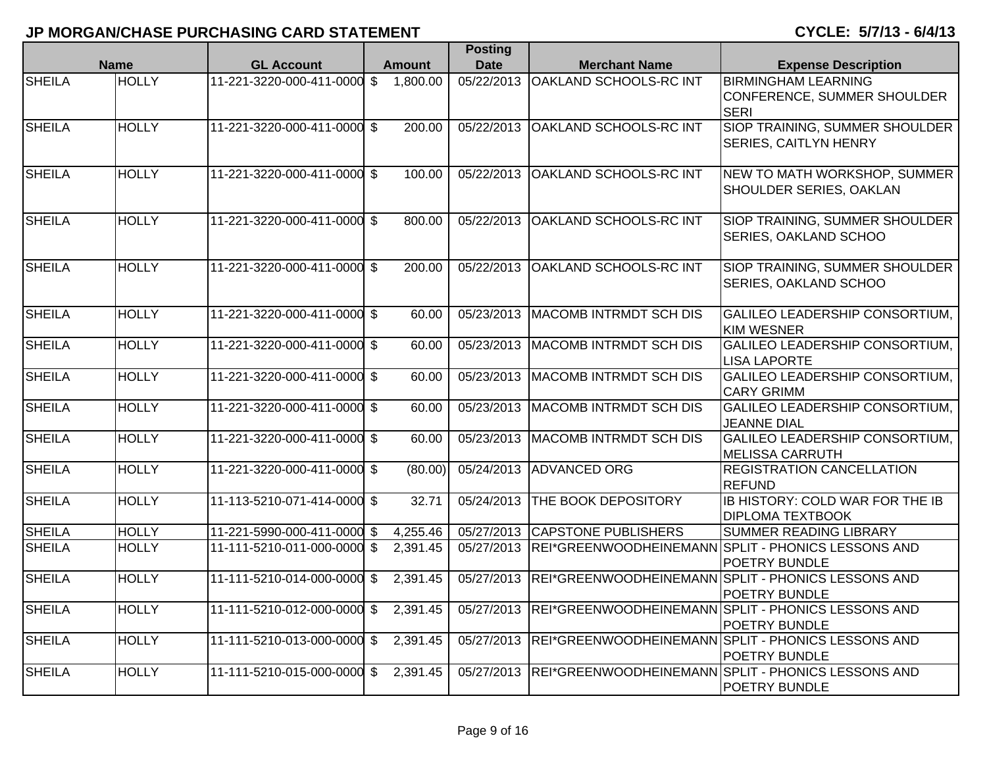|               |              |                             |  |                       | <b>Posting</b>          |                                |                                                                                |
|---------------|--------------|-----------------------------|--|-----------------------|-------------------------|--------------------------------|--------------------------------------------------------------------------------|
|               | <b>Name</b>  | <b>GL Account</b>           |  | <b>Amount</b>         | <b>Date</b>             | <b>Merchant Name</b>           | <b>Expense Description</b>                                                     |
| <b>SHEILA</b> | <b>HOLLY</b> | 11-221-3220-000-411-0000 \$ |  | 1,800.00              | 05/22/2013              | OAKLAND SCHOOLS-RC INT         | <b>BIRMINGHAM LEARNING</b><br>CONFERENCE, SUMMER SHOULDER<br><b>SERI</b>       |
| <b>SHEILA</b> | <b>HOLLY</b> | 11-221-3220-000-411-0000 \$ |  | 200.00                | 05/22/2013              | <b>OAKLAND SCHOOLS-RC INT</b>  | SIOP TRAINING, SUMMER SHOULDER<br><b>SERIES, CAITLYN HENRY</b>                 |
| SHEILA        | <b>HOLLY</b> | 11-221-3220-000-411-0000 \$ |  | 100.00                | 05/22/2013              | OAKLAND SCHOOLS-RC INT         | NEW TO MATH WORKSHOP, SUMMER<br>SHOULDER SERIES, OAKLAN                        |
| <b>SHEILA</b> | <b>HOLLY</b> | 11-221-3220-000-411-0000 \$ |  | 800.00                | 05/22/2013              | <b>OAKLAND SCHOOLS-RC INT</b>  | SIOP TRAINING, SUMMER SHOULDER<br><b>SERIES, OAKLAND SCHOO</b>                 |
| <b>SHEILA</b> | <b>HOLLY</b> | 11-221-3220-000-411-0000 \$ |  | 200.00                | 05/22/2013              | <b>OAKLAND SCHOOLS-RC INT</b>  | SIOP TRAINING, SUMMER SHOULDER<br>SERIES, OAKLAND SCHOO                        |
| <b>SHEILA</b> | <b>HOLLY</b> | 11-221-3220-000-411-0000 \$ |  | 60.00                 | 05/23/2013              | <b>MACOMB INTRMDT SCH DIS</b>  | GALILEO LEADERSHIP CONSORTIUM,<br>KIM WESNER                                   |
| <b>SHEILA</b> | <b>HOLLY</b> | 11-221-3220-000-411-0000 \$ |  | 60.00                 | 05/23/2013              | <b>MACOMB INTRMDT SCH DIS</b>  | GALILEO LEADERSHIP CONSORTIUM,<br><b>LISA LAPORTE</b>                          |
| <b>SHEILA</b> | <b>HOLLY</b> | 11-221-3220-000-411-0000 \$ |  | 60.00                 | 05/23/2013              | <b>MACOMB INTRMDT SCH DIS</b>  | GALILEO LEADERSHIP CONSORTIUM,<br><b>CARY GRIMM</b>                            |
| <b>SHEILA</b> | <b>HOLLY</b> | 11-221-3220-000-411-0000 \$ |  | 60.00                 | $\overline{05}/23/2013$ | MACOMB INTRMDT SCH DIS         | <b>GALILEO LEADERSHIP CONSORTIUM,</b><br><b>JEANNE DIAL</b>                    |
| <b>SHEILA</b> | <b>HOLLY</b> | 11-221-3220-000-411-0000 \$ |  | 60.00                 | 05/23/2013              | <b>MACOMB INTRMDT SCH DIS</b>  | GALILEO LEADERSHIP CONSORTIUM,<br><b>MELISSA CARRUTH</b>                       |
| <b>SHEILA</b> | <b>HOLLY</b> | 11-221-3220-000-411-0000 \$ |  | (80.00)               | 05/24/2013              | <b>ADVANCED ORG</b>            | <b>REGISTRATION CANCELLATION</b><br><b>REFUND</b>                              |
| <b>SHEILA</b> | <b>HOLLY</b> | 11-113-5210-071-414-0000 \$ |  | 32.71                 | 05/24/2013              | <b>THE BOOK DEPOSITORY</b>     | IB HISTORY: COLD WAR FOR THE IB<br><b>DIPLOMA TEXTBOOK</b>                     |
| <b>SHEILA</b> | <b>HOLLY</b> | 11-221-5990-000-411-0000 \$ |  | 4,255.46              |                         | 05/27/2013 CAPSTONE PUBLISHERS | SUMMER READING LIBRARY                                                         |
| <b>SHEILA</b> | <b>HOLLY</b> | 11-111-5210-011-000-0000 \$ |  | $\overline{2,39}1.45$ |                         |                                | 05/27/2013 REI*GREENWOODHEINEMANN SPLIT - PHONICS LESSONS AND<br>POETRY BUNDLE |
| <b>SHEILA</b> | <b>HOLLY</b> | 11-111-5210-014-000-0000 \$ |  | 2,391.45              | 05/27/2013              |                                | REI*GREENWOODHEINEMANN SPLIT - PHONICS LESSONS AND<br><b>POETRY BUNDLE</b>     |
| <b>SHEILA</b> | <b>HOLLY</b> | 11-111-5210-012-000-0000 \$ |  | 2,391.45              | 05/27/2013              |                                | REI*GREENWOODHEINEMANN SPLIT - PHONICS LESSONS AND<br>POETRY BUNDLE            |
| <b>SHEILA</b> | <b>HOLLY</b> | 11-111-5210-013-000-0000 \$ |  | 2,391.45              | 05/27/2013              |                                | REI*GREENWOODHEINEMANN SPLIT - PHONICS LESSONS AND<br><b>POETRY BUNDLE</b>     |
| <b>SHEILA</b> | <b>HOLLY</b> | 11-111-5210-015-000-0000 \$ |  | 2,391.45              | 05/27/2013              |                                | REI*GREENWOODHEINEMANN SPLIT - PHONICS LESSONS AND<br><b>POETRY BUNDLE</b>     |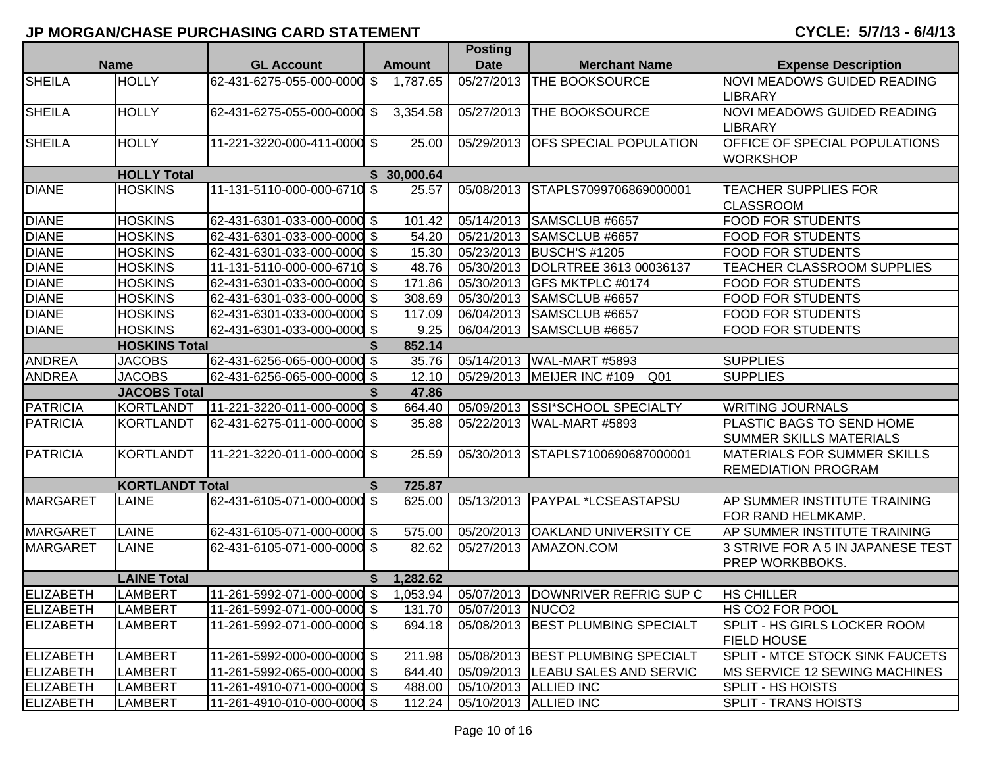| <b>Name</b>        |                        | <b>GL Account</b>           |               |               | <b>Posting</b>          |                                               |                                                                    |
|--------------------|------------------------|-----------------------------|---------------|---------------|-------------------------|-----------------------------------------------|--------------------------------------------------------------------|
|                    |                        |                             |               | <b>Amount</b> | <b>Date</b>             | <b>Merchant Name</b>                          | <b>Expense Description</b>                                         |
| <b>SHEILA</b>      | <b>HOLLY</b>           | 62-431-6275-055-000-0000    | \$            | 1,787.65      | 05/27/2013              | <b>THE BOOKSOURCE</b>                         | <b>NOVI MEADOWS GUIDED READING</b><br><b>LIBRARY</b>               |
| <b>SHEILA</b>      | <b>HOLLY</b>           | 62-431-6275-055-000-0000    | $\sqrt[6]{3}$ | 3,354.58      | 05/27/2013              | <b>THE BOOKSOURCE</b>                         | <b>NOVI MEADOWS GUIDED READING</b><br><b>LIBRARY</b>               |
| <b>SHEILA</b>      | <b>HOLLY</b>           | 11-221-3220-000-411-0000 \$ |               | 25.00         | 05/29/2013              | <b>OFS SPECIAL POPULATION</b>                 | OFFICE OF SPECIAL POPULATIONS<br><b>WORKSHOP</b>                   |
| <b>HOLLY Total</b> |                        |                             |               | \$30,000.64   |                         |                                               |                                                                    |
| <b>DIANE</b>       | <b>HOSKINS</b>         | 11-131-5110-000-000-6710 \$ |               | 25.57         | 05/08/2013              | STAPLS7099706869000001                        | <b>TEACHER SUPPLIES FOR</b><br><b>CLASSROOM</b>                    |
| <b>DIANE</b>       | <b>HOSKINS</b>         | 62-431-6301-033-000-0000 \$ |               | 101.42        |                         | 05/14/2013 SAMSCLUB #6657                     | <b>FOOD FOR STUDENTS</b>                                           |
| <b>DIANE</b>       | <b>HOSKINS</b>         | 62-431-6301-033-000-0000 \$ |               | 54.20         | 05/21/2013              | SAMSCLUB #6657                                | <b>FOOD FOR STUDENTS</b>                                           |
| <b>DIANE</b>       | <b>HOSKINS</b>         | 62-431-6301-033-000-0000 \$ |               | 15.30         |                         | 05/23/2013 BUSCH'S #1205                      | <b>FOOD FOR STUDENTS</b>                                           |
| <b>DIANE</b>       | <b>HOSKINS</b>         | 11-131-5110-000-000-6710 \$ |               | 48.76         |                         | 05/30/2013  DOLRTREE 3613 00036137            | TEACHER CLASSROOM SUPPLIES                                         |
| <b>DIANE</b>       | <b>HOSKINS</b>         | 62-431-6301-033-000-0000 \$ |               | 171.86        |                         | 05/30/2013 GFS MKTPLC #0174                   | <b>FOOD FOR STUDENTS</b>                                           |
| <b>DIANE</b>       | <b>HOSKINS</b>         | 62-431-6301-033-000-0000 \$ |               | 308.69        |                         | 05/30/2013 SAMSCLUB #6657                     | <b>FOOD FOR STUDENTS</b>                                           |
| <b>DIANE</b>       | <b>HOSKINS</b>         | 62-431-6301-033-000-0000 \$ |               | 117.09        | 06/04/2013              | SAMSCLUB #6657                                | <b>FOOD FOR STUDENTS</b>                                           |
| <b>DIANE</b>       | <b>HOSKINS</b>         | 62-431-6301-033-000-0000 \$ |               | 9.25          | 06/04/2013              | SAMSCLUB #6657                                | <b>FOOD FOR STUDENTS</b>                                           |
|                    | <b>HOSKINS Total</b>   |                             |               | 852.14        |                         |                                               |                                                                    |
| <b>ANDREA</b>      | <b>JACOBS</b>          | 62-431-6256-065-000-0000 \$ |               | 35.76         |                         | 05/14/2013 WAL-MART #5893                     | <b>SUPPLIES</b>                                                    |
| <b>ANDREA</b>      | <b>JACOBS</b>          | 62-431-6256-065-000-0000 \$ |               | 12.10         |                         | 05/29/2013 MEIJER INC #109<br>Q <sub>01</sub> | <b>SUPPLIES</b>                                                    |
|                    | <b>JACOBS Total</b>    |                             | \$            | 47.86         |                         |                                               |                                                                    |
| <b>PATRICIA</b>    | KORTLANDT              | 11-221-3220-011-000-0000 \$ |               | 664.40        |                         | 05/09/2013 SSI*SCHOOL SPECIALTY               | <b>WRITING JOURNALS</b>                                            |
| <b>PATRICIA</b>    | KORTLANDT              | 62-431-6275-011-000-0000 \$ |               | 35.88         |                         | 05/22/2013   WAL-MART #5893                   | <b>PLASTIC BAGS TO SEND HOME</b><br><b>SUMMER SKILLS MATERIALS</b> |
| <b>PATRICIA</b>    | KORTLANDT              | 11-221-3220-011-000-0000 \$ |               | 25.59         | 05/30/2013              | STAPLS7100690687000001                        | <b>MATERIALS FOR SUMMER SKILLS</b><br><b>REMEDIATION PROGRAM</b>   |
|                    | <b>KORTLANDT Total</b> |                             | \$            | 725.87        |                         |                                               |                                                                    |
| MARGARET           | LAINE                  | 62-431-6105-071-000-0000 \$ |               | 625.00        | 05/13/2013              | <b>PAYPAL *LCSEASTAPSU</b>                    | AP SUMMER INSTITUTE TRAINING<br>FOR RAND HELMKAMP.                 |
| <b>MARGARET</b>    | <b>LAINE</b>           | 62-431-6105-071-000-0000 \$ |               | 575.00        | 05/20/2013              | <b>OAKLAND UNIVERSITY CE</b>                  | AP SUMMER INSTITUTE TRAINING                                       |
| MARGARET           | <b>LAINE</b>           | 62-431-6105-071-000-0000 \$ |               | 82.62         | 05/27/2013              | AMAZON.COM                                    | 3 STRIVE FOR A 5 IN JAPANESE TEST<br><b>PREP WORKBBOKS.</b>        |
|                    | <b>LAINE Total</b>     |                             | S.            | 1,282.62      |                         |                                               |                                                                    |
| ELIZABETH          | <b>LAMBERT</b>         | 11-261-5992-071-000-0000 \$ |               | 1,053.94      |                         | 05/07/2013 DOWNRIVER REFRIG SUP C             | <b>HS CHILLER</b>                                                  |
| <b>ELIZABETH</b>   | <b>LAMBERT</b>         | 11-261-5992-071-000-0000 \$ |               |               | 131.70 05/07/2013 NUCO2 |                                               | HS CO <sub>2</sub> FOR POOL                                        |
| <b>ELIZABETH</b>   | <b>LAMBERT</b>         | 11-261-5992-071-000-0000 \$ |               | 694.18        |                         | 05/08/2013 BEST PLUMBING SPECIALT             | <b>SPLIT - HS GIRLS LOCKER ROOM</b><br><b>FIELD HOUSE</b>          |
| <b>ELIZABETH</b>   | <b>LAMBERT</b>         | 11-261-5992-000-000-0000 \$ |               | 211.98        |                         | 05/08/2013 BEST PLUMBING SPECIALT             | <b>SPLIT - MTCE STOCK SINK FAUCETS</b>                             |
| <b>ELIZABETH</b>   | <b>LAMBERT</b>         | 11-261-5992-065-000-0000 \$ |               | 644.40        |                         | 05/09/2013 LEABU SALES AND SERVIC             | MS SERVICE 12 SEWING MACHINES                                      |
| <b>ELIZABETH</b>   | <b>LAMBERT</b>         | 11-261-4910-071-000-0000 \$ |               | 488.00        |                         | 05/10/2013 ALLIED INC                         | SPLIT - HS HOISTS                                                  |
| <b>ELIZABETH</b>   | <b>LAMBERT</b>         | 11-261-4910-010-000-0000 \$ |               | 112.24        |                         | 05/10/2013 ALLIED INC                         | <b>SPLIT - TRANS HOISTS</b>                                        |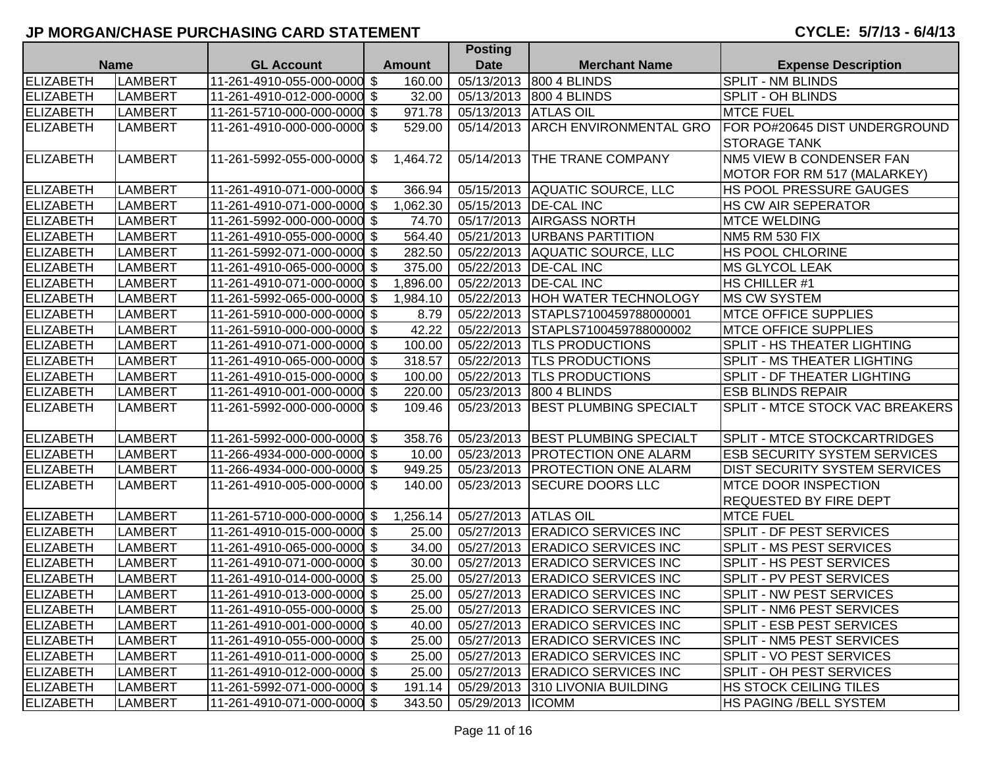|                  |                |                             |                | Posting              |                                   |                                      |
|------------------|----------------|-----------------------------|----------------|----------------------|-----------------------------------|--------------------------------------|
|                  | <b>Name</b>    | <b>GL Account</b>           | <b>Amount</b>  | <b>Date</b>          | <b>Merchant Name</b>              | <b>Expense Description</b>           |
| <b>ELIZABETH</b> | <b>LAMBERT</b> | 11-261-4910-055-000-0000 \$ | 160.00         |                      | 05/13/2013 800 4 BLINDS           | <b>SPLIT - NM BLINDS</b>             |
| <b>ELIZABETH</b> | <b>LAMBERT</b> | 11-261-4910-012-000-0000 \$ | 32.00          |                      | 05/13/2013 800 4 BLINDS           | <b>SPLIT - OH BLINDS</b>             |
| ELIZABETH        | <b>LAMBERT</b> | 11-261-5710-000-000-0000 \$ | 971.78         | 05/13/2013 ATLAS OIL |                                   | <b>MTCE FUEL</b>                     |
| <b>ELIZABETH</b> | <b>LAMBERT</b> | 11-261-4910-000-000-0000 \$ | 529.00         |                      | 05/14/2013 ARCH ENVIRONMENTAL GRO | FOR PO#20645 DIST UNDERGROUND        |
|                  |                |                             |                |                      |                                   | <b>STORAGE TANK</b>                  |
| <b>ELIZABETH</b> | <b>LAMBERT</b> | 11-261-5992-055-000-0000 \$ | 1,464.72       | 05/14/2013           | <b>THE TRANE COMPANY</b>          | NM5 VIEW B CONDENSER FAN             |
|                  |                |                             |                |                      |                                   | MOTOR FOR RM 517 (MALARKEY)          |
| ELIZABETH        | LAMBERT        | 11-261-4910-071-000-0000 \$ | 366.94         |                      | 05/15/2013 AQUATIC SOURCE, LLC    | HS POOL PRESSURE GAUGES              |
| <b>ELIZABETH</b> | <b>LAMBERT</b> | 11-261-4910-071-000-0000 \$ | 1,062.30       |                      | 05/15/2013   DE-CAL INC           | <b>HS CW AIR SEPERATOR</b>           |
| ELIZABETH        | <b>LAMBERT</b> | 11-261-5992-000-000-0000 \$ | 74.70          |                      | 05/17/2013 AIRGASS NORTH          | <b>MTCE WELDING</b>                  |
| <b>ELIZABETH</b> | <b>LAMBERT</b> | 11-261-4910-055-000-0000 \$ | 564.40         |                      | 05/21/2013   URBANS PARTITION     | <b>NM5 RM 530 FIX</b>                |
| <b>ELIZABETH</b> | <b>LAMBERT</b> | 11-261-5992-071-000-0000 \$ | 282.50         |                      | 05/22/2013 AQUATIC SOURCE, LLC    | HS POOL CHLORINE                     |
| <b>ELIZABETH</b> | <b>LAMBERT</b> | 11-261-4910-065-000-0000 \$ | 375.00         |                      | 05/22/2013   DE-CAL INC           | <b>MS GLYCOL LEAK</b>                |
| ELIZABETH        | <b>LAMBERT</b> | 11-261-4910-071-000-0000    | \$<br>1,896.00 |                      | 05/22/2013   DE-CAL INC           | HS CHILLER #1                        |
| <b>ELIZABETH</b> | <b>LAMBERT</b> | 11-261-5992-065-000-0000 \$ | 1,984.10       |                      | 05/22/2013 HOH WATER TECHNOLOGY   | <b>MS CW SYSTEM</b>                  |
| ELIZABETH        | <b>LAMBERT</b> | 11-261-5910-000-000-0000 \$ | 8.79           |                      | 05/22/2013 STAPLS7100459788000001 | <b>MTCE OFFICE SUPPLIES</b>          |
| ELIZABETH        | LAMBERT        | 11-261-5910-000-000-0000 \$ | 42.22          |                      | 05/22/2013 STAPLS7100459788000002 | <b>MTCE OFFICE SUPPLIES</b>          |
| ELIZABETH        | LAMBERT        | 11-261-4910-071-000-0000 \$ | 100.00         |                      | 05/22/2013  TLS PRODUCTIONS       | SPLIT - HS THEATER LIGHTING          |
| <b>ELIZABETH</b> | <b>LAMBERT</b> | 11-261-4910-065-000-0000 \$ | 318.57         |                      | 05/22/2013  TLS PRODUCTIONS       | <b>SPLIT - MS THEATER LIGHTING</b>   |
| <b>ELIZABETH</b> | LAMBERT        | 11-261-4910-015-000-0000 \$ | 100.00         |                      | 05/22/2013  TLS PRODUCTIONS       | SPLIT - DF THEATER LIGHTING          |
| ELIZABETH        | <b>LAMBERT</b> | 11-261-4910-001-000-0000 \$ | 220.00         |                      | 05/23/2013 800 4 BLINDS           | <b>ESB BLINDS REPAIR</b>             |
| ELIZABETH        | <b>LAMBERT</b> | 11-261-5992-000-000-0000 \$ | 109.46         | 05/23/2013           | <b>BEST PLUMBING SPECIALT</b>     | SPLIT - MTCE STOCK VAC BREAKERS      |
|                  |                |                             |                |                      |                                   |                                      |
| ELIZABETH        | LAMBERT        | 11-261-5992-000-000-0000 \$ | 358.76         |                      | 05/23/2013 BEST PLUMBING SPECIALT | <b>SPLIT - MTCE STOCKCARTRIDGES</b>  |
| <b>ELIZABETH</b> | LAMBERT        | 11-266-4934-000-000-0000 \$ | 10.00          |                      | 05/23/2013   PROTECTION ONE ALARM | <b>ESB SECURITY SYSTEM SERVICES</b>  |
| <b>ELIZABETH</b> | <b>LAMBERT</b> | 11-266-4934-000-000-0000 \$ | 949.25         | 05/23/2013           | <b>PROTECTION ONE ALARM</b>       | <b>DIST SECURITY SYSTEM SERVICES</b> |
| <b>ELIZABETH</b> | <b>LAMBERT</b> | 11-261-4910-005-000-0000 \$ | 140.00         |                      | 05/23/2013 SECURE DOORS LLC       | <b>MTCE DOOR INSPECTION</b>          |
|                  |                |                             |                |                      |                                   | <b>REQUESTED BY FIRE DEPT</b>        |
| ELIZABETH        | LAMBERT        | 11-261-5710-000-000-0000 \$ | 1,256.14       | 05/27/2013 ATLAS OIL |                                   | <b>MTCE FUEL</b>                     |
| ELIZABETH        | LAMBERT        | 11-261-4910-015-000-0000 \$ | 25.00          |                      | 05/27/2013 ERADICO SERVICES INC   | <b>SPLIT - DF PEST SERVICES</b>      |
| <b>ELIZABETH</b> | LAMBERT        | 11-261-4910-065-000-0000 \$ | 34.00          |                      | 05/27/2013 ERADICO SERVICES INC   | SPLIT - MS PEST SERVICES             |
| ELIZABETH        | LAMBERT        | 11-261-4910-071-000-0000 \$ | 30.00          |                      | 05/27/2013 ERADICO SERVICES INC   | SPLIT - HS PEST SERVICES             |
| <b>ELIZABETH</b> | <b>LAMBERT</b> | 11-261-4910-014-000-0000 \$ | 25.00          |                      | 05/27/2013 ERADICO SERVICES INC   | SPLIT - PV PEST SERVICES             |
| <b>ELIZABETH</b> | <b>LAMBERT</b> | 11-261-4910-013-000-0000 \$ | 25.00          |                      | 05/27/2013 ERADICO SERVICES INC   | SPLIT - NW PEST SERVICES             |
| <b>ELIZABETH</b> | <b>LAMBERT</b> | 11-261-4910-055-000-0000 \$ | 25.00          |                      | 05/27/2013 ERADICO SERVICES INC   | SPLIT - NM6 PEST SERVICES            |
| <b>ELIZABETH</b> | LAMBERT        | 11-261-4910-001-000-0000 \$ | 40.00          |                      | 05/27/2013 ERADICO SERVICES INC   | <b>SPLIT - ESB PEST SERVICES</b>     |
| <b>ELIZABETH</b> | LAMBERT        | 11-261-4910-055-000-0000 \$ | 25.00          |                      | 05/27/2013 ERADICO SERVICES INC   | <b>SPLIT - NM5 PEST SERVICES</b>     |
| <b>ELIZABETH</b> | LAMBERT        | 11-261-4910-011-000-0000 \$ | 25.00          |                      | 05/27/2013 ERADICO SERVICES INC   | SPLIT - VO PEST SERVICES             |
| <b>ELIZABETH</b> | <b>LAMBERT</b> | 11-261-4910-012-000-0000 \$ | 25.00          |                      | 05/27/2013 ERADICO SERVICES INC   | <b>SPLIT - OH PEST SERVICES</b>      |
| <b>ELIZABETH</b> | LAMBERT        | 11-261-5992-071-000-0000 \$ | 191.14         |                      | 05/29/2013 310 LIVONIA BUILDING   | HS STOCK CEILING TILES               |
| <b>ELIZABETH</b> | LAMBERT        | 11-261-4910-071-000-0000 \$ | 343.50         | 05/29/2013  ICOMM    |                                   | HS PAGING / BELL SYSTEM              |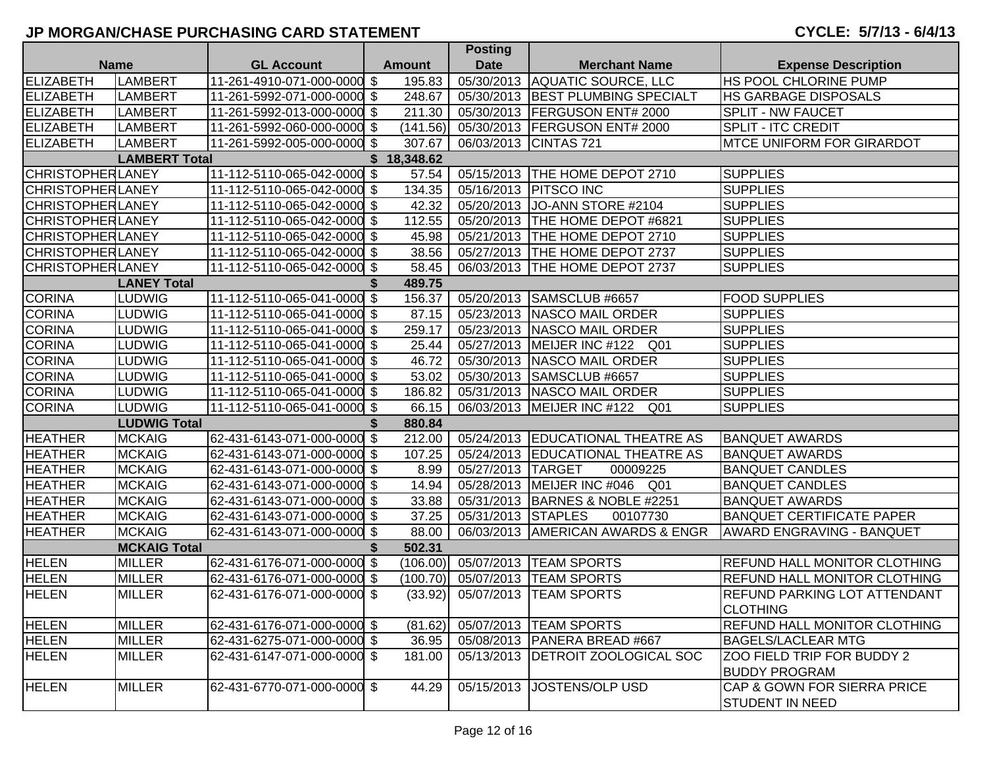|                         |                      |                             |    |               | <b>POSUIL</b>      |                                     |                                     |
|-------------------------|----------------------|-----------------------------|----|---------------|--------------------|-------------------------------------|-------------------------------------|
|                         | <b>Name</b>          | <b>GL Account</b>           |    | <b>Amount</b> | <b>Date</b>        | <b>Merchant Name</b>                | <b>Expense Description</b>          |
| <b>ELIZABETH</b>        | <b>LAMBERT</b>       | 11-261-4910-071-000-0000 \$ |    | 195.83        | 05/30/2013         | AQUATIC SOURCE, LLC                 | <b>HS POOL CHLORINE PUMP</b>        |
| <b>ELIZABETH</b>        | LAMBERT              | 11-261-5992-071-000-0000 \$ |    | 248.67        | 05/30/2013         | <b>BEST PLUMBING SPECIALT</b>       | <b>HS GARBAGE DISPOSALS</b>         |
| <b>ELIZABETH</b>        | LAMBERT              | 11-261-5992-013-000-0000 \$ |    | 211.30        | 05/30/2013         | <b>FERGUSON ENT# 2000</b>           | <b>SPLIT - NW FAUCET</b>            |
| ELIZABETH               | LAMBERT              | 11-261-5992-060-000-0000 \$ |    | (141.56)      |                    | 05/30/2013   FERGUSON ENT# 2000     | <b>SPLIT - ITC CREDIT</b>           |
| <b>ELIZABETH</b>        | <b>LAMBERT</b>       | 11-261-5992-005-000-0000 \$ |    | 307.67        |                    | 06/03/2013 CINTAS 721               | <b>IMTCE UNIFORM FOR GIRARDOT</b>   |
|                         | <b>LAMBERT Total</b> |                             |    | \$18,348.62   |                    |                                     |                                     |
| <b>CHRISTOPHERLANEY</b> |                      | 11-112-5110-065-042-0000 \$ |    | 57.54         |                    | 05/15/2013 THE HOME DEPOT 2710      | <b>SUPPLIES</b>                     |
| <b>CHRISTOPHERLANEY</b> |                      | 11-112-5110-065-042-0000 \$ |    | 134.35        |                    | 05/16/2013   PITSCO INC             | <b>SUPPLIES</b>                     |
| <b>CHRISTOPHERLANEY</b> |                      | 11-112-5110-065-042-0000 \$ |    | 42.32         | 05/20/2013         | JO-ANN STORE #2104                  | <b>SUPPLIES</b>                     |
| <b>CHRISTOPHERLANEY</b> |                      | 11-112-5110-065-042-0000 \$ |    | 112.55        |                    | 05/20/2013   THE HOME DEPOT #6821   | <b>SUPPLIES</b>                     |
| <b>CHRISTOPHERLANEY</b> |                      | 11-112-5110-065-042-0000 \$ |    | 45.98         | 05/21/2013         | THE HOME DEPOT 2710                 | <b>SUPPLIES</b>                     |
| <b>CHRISTOPHERLANEY</b> |                      | 11-112-5110-065-042-0000 \$ |    | 38.56         | 05/27/2013         | THE HOME DEPOT 2737                 | <b>SUPPLIES</b>                     |
| <b>CHRISTOPHERLANEY</b> |                      | 11-112-5110-065-042-0000 \$ |    | 58.45         | 06/03/2013         | THE HOME DEPOT 2737                 | <b>SUPPLIES</b>                     |
|                         | <b>LANEY Total</b>   |                             |    | 489.75        |                    |                                     |                                     |
| <b>CORINA</b>           | LUDWIG               | 11-112-5110-065-041-0000 \$ |    | 156.37        | 05/20/2013         | SAMSCLUB #6657                      | <b>FOOD SUPPLIES</b>                |
| <b>CORINA</b>           | <b>LUDWIG</b>        | 11-112-5110-065-041-0000 \$ |    | 87.15         | 05/23/2013         | NASCO MAIL ORDER                    | <b>SUPPLIES</b>                     |
| <b>CORINA</b>           | <b>LUDWIG</b>        | 11-112-5110-065-041-0000 \$ |    | 259.17        | 05/23/2013         | NASCO MAIL ORDER                    | <b>SUPPLIES</b>                     |
| <b>CORINA</b>           | <b>LUDWIG</b>        | 11-112-5110-065-041-0000 \$ |    | 25.44         | 05/27/2013         | MEIJER INC #122 Q01                 | <b>SUPPLIES</b>                     |
| <b>CORINA</b>           | <b>LUDWIG</b>        | 11-112-5110-065-041-0000 \$ |    | 46.72         | 05/30/2013         | NASCO MAIL ORDER                    | <b>SUPPLIES</b>                     |
| <b>CORINA</b>           | <b>LUDWIG</b>        | 11-112-5110-065-041-0000 \$ |    | 53.02         |                    | 05/30/2013 SAMSCLUB #6657           | <b>SUPPLIES</b>                     |
| <b>CORINA</b>           | <b>LUDWIG</b>        | 11-112-5110-065-041-0000 \$ |    | 186.82        | 05/31/2013         | NASCO MAIL ORDER                    | <b>SUPPLIES</b>                     |
| <b>CORINA</b>           | <b>LUDWIG</b>        | 11-112-5110-065-041-0000 \$ |    | 66.15         | 06/03/2013         | MEIJER INC #122<br>Q01              | <b>SUPPLIES</b>                     |
|                         | <b>LUDWIG Total</b>  |                             | S  | 880.84        |                    |                                     |                                     |
| <b>HEATHER</b>          | <b>MCKAIG</b>        | 62-431-6143-071-000-0000 \$ |    | 212.00        |                    | 05/24/2013 EDUCATIONAL THEATRE AS   | <b>BANQUET AWARDS</b>               |
| <b>HEATHER</b>          | <b>MCKAIG</b>        | 62-431-6143-071-000-0000 \$ |    | 107.25        | 05/24/2013         | <b>EDUCATIONAL THEATRE AS</b>       | <b>BANQUET AWARDS</b>               |
| <b>HEATHER</b>          | <b>MCKAIG</b>        | 62-431-6143-071-000-0000 \$ |    | 8.99          | 05/27/2013         | <b>TARGET</b><br>00009225           | <b>BANQUET CANDLES</b>              |
| <b>HEATHER</b>          | <b>MCKAIG</b>        | 62-431-6143-071-000-0000 \$ |    | 14.94         | 05/28/2013         | MEIJER INC #046<br>Q01              | <b>BANQUET CANDLES</b>              |
| <b>HEATHER</b>          | <b>MCKAIG</b>        | 62-431-6143-071-000-0000 \$ |    | 33.88         | 05/31/2013         | BARNES & NOBLE #2251                | <b>BANQUET AWARDS</b>               |
| <b>HEATHER</b>          | <b>MCKAIG</b>        | 62-431-6143-071-000-0000 \$ |    | 37.25         | 05/31/2013 STAPLES | 00107730                            | <b>BANQUET CERTIFICATE PAPER</b>    |
| <b>HEATHER</b>          | <b>MCKAIG</b>        | 62-431-6143-071-000-0000 \$ |    | 88.00         |                    | 06/03/2013   AMERICAN AWARDS & ENGR | <b>AWARD ENGRAVING - BANQUET</b>    |
|                         | <b>MCKAIG Total</b>  |                             | S. | 502.31        |                    |                                     |                                     |
| <b>HELEN</b>            | <b>MILLER</b>        | 62-431-6176-071-000-0000 \$ |    | (106.00)      | 05/07/2013         | <b>TEAM SPORTS</b>                  | <b>REFUND HALL MONITOR CLOTHING</b> |
| <b>HELEN</b>            | <b>MILLER</b>        | 62-431-6176-071-000-0000 \$ |    | (100.70)      | 05/07/2013         | <b>TEAM SPORTS</b>                  | <b>REFUND HALL MONITOR CLOTHING</b> |
| <b>HELEN</b>            | <b>MILLER</b>        | 62-431-6176-071-000-0000 \$ |    | (33.92)       | 05/07/2013         | <b>TEAM SPORTS</b>                  | REFUND PARKING LOT ATTENDANT        |
|                         |                      |                             |    |               |                    |                                     | <b>CLOTHING</b>                     |
| <b>HELEN</b>            | <b>MILLER</b>        | 62-431-6176-071-000-0000 \$ |    | (81.62)       |                    | 05/07/2013  TEAM SPORTS             | <b>REFUND HALL MONITOR CLOTHING</b> |
| <b>HELEN</b>            | <b>MILLER</b>        | 62-431-6275-071-000-0000 \$ |    | 36.95         |                    | 05/08/2013   PANERA BREAD #667      | <b>BAGELS/LACLEAR MTG</b>           |
| <b>HELEN</b>            | <b>MILLER</b>        | 62-431-6147-071-000-0000 \$ |    | 181.00        | 05/13/2013         | <b>DETROIT ZOOLOGICAL SOC</b>       | ZOO FIELD TRIP FOR BUDDY 2          |
|                         |                      |                             |    |               |                    |                                     | <b>BUDDY PROGRAM</b>                |
| <b>HELEN</b>            | <b>MILLER</b>        | 62-431-6770-071-000-0000 \$ |    | 44.29         | 05/15/2013         | <b>JOSTENS/OLP USD</b>              | CAP & GOWN FOR SIERRA PRICE         |
|                         |                      |                             |    |               |                    |                                     | <b>STUDENT IN NEED</b>              |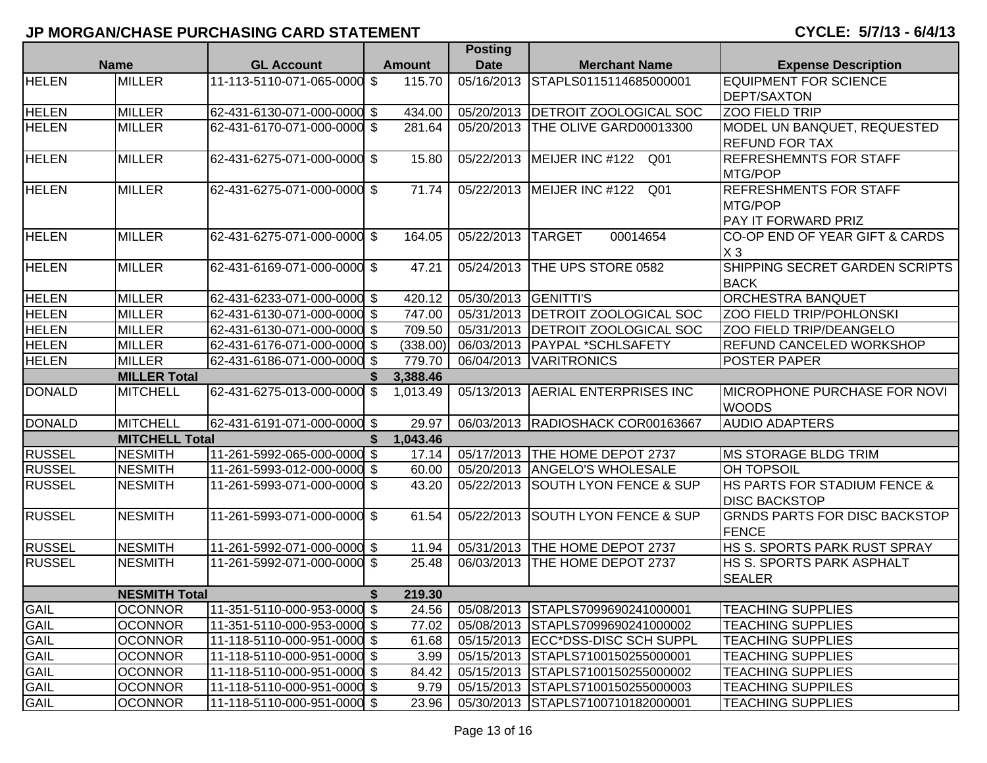|               |                       |                             |    |               | Posting              |                                         |                                      |
|---------------|-----------------------|-----------------------------|----|---------------|----------------------|-----------------------------------------|--------------------------------------|
| <b>Name</b>   |                       | <b>GL Account</b>           |    | <b>Amount</b> | <b>Date</b>          | <b>Merchant Name</b>                    | <b>Expense Description</b>           |
| <b>HELEN</b>  | <b>MILLER</b>         | 11-113-5110-071-065-0000 \$ |    | 115.70        | 05/16/2013           | STAPLS0115114685000001                  | <b>EQUIPMENT FOR SCIENCE</b>         |
|               |                       |                             |    |               |                      |                                         | <b>DEPT/SAXTON</b>                   |
| <b>HELEN</b>  | <b>MILLER</b>         | 62-431-6130-071-000-0000 \$ |    | 434.00        |                      | 05/20/2013 DETROIT ZOOLOGICAL SOC       | <b>ZOO FIELD TRIP</b>                |
| <b>HELEN</b>  | <b>MILLER</b>         | 62-431-6170-071-000-0000 \$ |    | 281.64        | 05/20/2013           | THE OLIVE GARD00013300                  | MODEL UN BANQUET, REQUESTED          |
|               |                       |                             |    |               |                      |                                         | <b>REFUND FOR TAX</b>                |
| <b>HELEN</b>  | <b>MILLER</b>         | 62-431-6275-071-000-0000 \$ |    | 15.80         | 05/22/2013           | MEIJER INC #122<br>Q <sub>01</sub>      | <b>REFRESHEMNTS FOR STAFF</b>        |
|               |                       |                             |    |               |                      |                                         | MTG/POP                              |
| <b>HELEN</b>  | <b>MILLER</b>         | 62-431-6275-071-000-0000 \$ |    | 71.74         |                      | 05/22/2013 MEIJER INC #122<br>Q01       | <b>REFRESHMENTS FOR STAFF</b>        |
|               |                       |                             |    |               |                      |                                         | MTG/POP                              |
|               |                       |                             |    |               |                      |                                         | <b>PAY IT FORWARD PRIZ</b>           |
| <b>HELEN</b>  | <b>MILLER</b>         | 62-431-6275-071-000-0000 \$ |    | 164.05        | 05/22/2013           | <b>TARGET</b><br>00014654               | CO-OP END OF YEAR GIFT & CARDS       |
|               |                       |                             |    |               |                      |                                         | $X_3$                                |
| <b>HELEN</b>  | <b>MILLER</b>         | 62-431-6169-071-000-0000 \$ |    | 47.21         | 05/24/2013           | THE UPS STORE 0582                      | SHIPPING SECRET GARDEN SCRIPTS       |
|               |                       |                             |    |               |                      |                                         | <b>BACK</b>                          |
| <b>HELEN</b>  | <b>MILLER</b>         | 62-431-6233-071-000-0000 \$ |    | 420.12        | 05/30/2013 GENITTI'S |                                         | <b>ORCHESTRA BANQUET</b>             |
| <b>HELEN</b>  | <b>MILLER</b>         | 62-431-6130-071-000-0000 \$ |    | 747.00        |                      | 05/31/2013 DETROIT ZOOLOGICAL SOC       | <b>ZOO FIELD TRIP/POHLONSKI</b>      |
| <b>HELEN</b>  | <b>MILLER</b>         | 62-431-6130-071-000-0000 \$ |    | 709.50        |                      | 05/31/2013 DETROIT ZOOLOGICAL SOC       | ZOO FIELD TRIP/DEANGELO              |
| <b>HELEN</b>  | <b>MILLER</b>         | 62-431-6176-071-000-0000 \$ |    | (338.00)      |                      | 06/03/2013   PAYPAL *SCHLSAFETY         | <b>REFUND CANCELED WORKSHOP</b>      |
| <b>HELEN</b>  | <b>MILLER</b>         | 62-431-6186-071-000-0000 \$ |    | 779.70        |                      | 06/04/2013 VARITRONICS                  | <b>POSTER PAPER</b>                  |
|               | <b>MILLER Total</b>   |                             | S. | 3,388.46      |                      |                                         |                                      |
| <b>DONALD</b> | <b>MITCHELL</b>       | 62-431-6275-013-000-0000 \$ |    | 1,013.49      | 05/13/2013           | <b>AERIAL ENTERPRISES INC</b>           | <b>IMICROPHONE PURCHASE FOR NOVI</b> |
|               |                       |                             |    |               |                      |                                         | <b>WOODS</b>                         |
| <b>DONALD</b> | <b>MITCHELL</b>       | 62-431-6191-071-000-0000 \$ |    | 29.97         |                      | 06/03/2013 RADIOSHACK COR00163667       | <b>AUDIO ADAPTERS</b>                |
|               | <b>MITCHELL Total</b> |                             |    | 1,043.46      |                      |                                         |                                      |
| <b>RUSSEL</b> | <b>NESMITH</b>        | 11-261-5992-065-000-0000 \$ |    | 17.14         |                      | 05/17/2013 THE HOME DEPOT 2737          | <b>MS STORAGE BLDG TRIM</b>          |
| <b>RUSSEL</b> | <b>NESMITH</b>        | 11-261-5993-012-000-0000 \$ |    | 60.00         | 05/20/2013           | <b>ANGELO'S WHOLESALE</b>               | <b>OH TOPSOIL</b>                    |
| <b>RUSSEL</b> | <b>NESMITH</b>        | 11-261-5993-071-000-0000 \$ |    | 43.20         | 05/22/2013           | <b>SOUTH LYON FENCE &amp; SUP</b>       | HS PARTS FOR STADIUM FENCE &         |
|               |                       |                             |    |               |                      |                                         | <b>DISC BACKSTOP</b>                 |
| <b>RUSSEL</b> | <b>NESMITH</b>        | 11-261-5993-071-000-0000 \$ |    | 61.54         | 05/22/2013           | <b>SOUTH LYON FENCE &amp; SUP</b>       | <b>GRNDS PARTS FOR DISC BACKSTOP</b> |
|               |                       |                             |    |               |                      |                                         | <b>FENCE</b>                         |
| <b>RUSSEL</b> | <b>NESMITH</b>        | 11-261-5992-071-000-0000 \$ |    | 11.94         |                      | 05/31/2013  THE HOME DEPOT 2737         | HS S. SPORTS PARK RUST SPRAY         |
| <b>RUSSEL</b> | <b>NESMITH</b>        | 11-261-5992-071-000-0000 \$ |    | 25.48         |                      | 06/03/2013  THE HOME DEPOT 2737         | <b>HS S. SPORTS PARK ASPHALT</b>     |
|               |                       |                             |    |               |                      |                                         | <b>SEALER</b>                        |
|               | <b>NESMITH Total</b>  |                             | \$ | 219.30        |                      |                                         |                                      |
| GAIL          | <b>OCONNOR</b>        | 11-351-5110-000-953-0000 \$ |    |               |                      | 24.56 05/08/2013 STAPLS7099690241000001 | <b>TEACHING SUPPLIES</b>             |
| <b>GAIL</b>   | <b>OCONNOR</b>        | 11-351-5110-000-953-0000 \$ |    | 77.02         |                      | 05/08/2013 STAPLS7099690241000002       | <b>TEACHING SUPPLIES</b>             |
| <b>GAIL</b>   | <b>OCONNOR</b>        | 11-118-5110-000-951-0000 \$ |    | 61.68         |                      | 05/15/2013   ECC*DSS-DISC SCH SUPPL     | <b>TEACHING SUPPLIES</b>             |
| <b>GAIL</b>   | <b>OCONNOR</b>        | 11-118-5110-000-951-0000 \$ |    | 3.99          |                      | 05/15/2013 STAPLS7100150255000001       | <b>TEACHING SUPPLIES</b>             |
| <b>GAIL</b>   | <b>OCONNOR</b>        | 11-118-5110-000-951-0000 \$ |    | 84.42         |                      | 05/15/2013 STAPLS7100150255000002       | <b>TEACHING SUPPLIES</b>             |
| <b>GAIL</b>   | <b>OCONNOR</b>        | 11-118-5110-000-951-0000 \$ |    | 9.79          |                      | 05/15/2013 STAPLS7100150255000003       | <b>TEACHING SUPPILES</b>             |
| <b>GAIL</b>   | <b>OCONNOR</b>        | 11-118-5110-000-951-0000 \$ |    | 23.96         |                      | 05/30/2013 STAPLS7100710182000001       | <b>TEACHING SUPPLIES</b>             |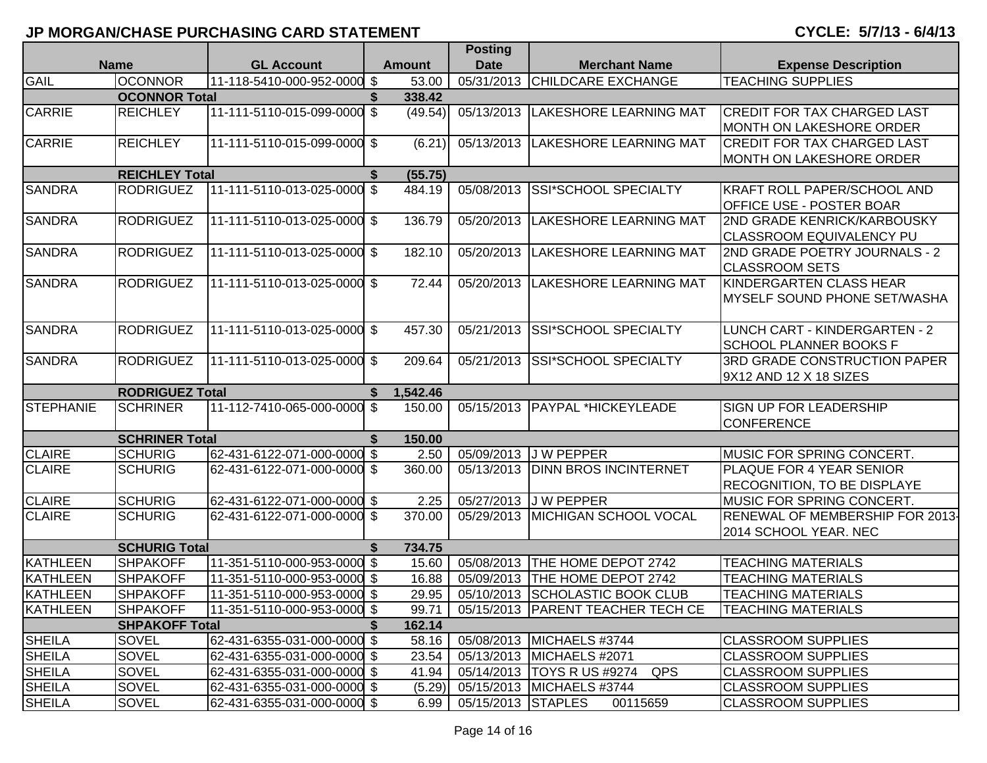|                  |                        |                             |     |               | <b>Posting</b>     |                                            |                                     |
|------------------|------------------------|-----------------------------|-----|---------------|--------------------|--------------------------------------------|-------------------------------------|
|                  | <b>Name</b>            | <b>GL Account</b>           |     | <b>Amount</b> | <b>Date</b>        | <b>Merchant Name</b>                       | <b>Expense Description</b>          |
| <b>GAIL</b>      | <b>OCONNOR</b>         | 11-118-5410-000-952-0000 \$ |     | 53.00         | 05/31/2013         | <b>CHILDCARE EXCHANGE</b>                  | <b>TEACHING SUPPLIES</b>            |
|                  | <b>OCONNOR Total</b>   |                             | \$  | 338.42        |                    |                                            |                                     |
| <b>CARRIE</b>    | <b>REICHLEY</b>        | 11-111-5110-015-099-0000    | \$  | (49.54)       | 05/13/2013         | <b>LAKESHORE LEARNING MAT</b>              | <b>CREDIT FOR TAX CHARGED LAST</b>  |
|                  |                        |                             |     |               |                    |                                            | MONTH ON LAKESHORE ORDER            |
| <b>CARRIE</b>    | <b>REICHLEY</b>        | 11-111-5110-015-099-0000 \$ |     | (6.21)        | 05/13/2013         | LAKESHORE LEARNING MAT                     | <b>CREDIT FOR TAX CHARGED LAST</b>  |
|                  |                        |                             |     |               |                    |                                            | MONTH ON LAKESHORE ORDER            |
|                  | <b>REICHLEY Total</b>  |                             | \$  | (55.75)       |                    |                                            |                                     |
| <b>SANDRA</b>    | <b>RODRIGUEZ</b>       | 11-111-5110-013-025-0000    | \$  | 484.19        | 05/08/2013         | SSI*SCHOOL SPECIALTY                       | <b>KRAFT ROLL PAPER/SCHOOL AND</b>  |
|                  |                        |                             |     |               |                    |                                            | <b>OFFICE USE - POSTER BOAR</b>     |
| <b>SANDRA</b>    | <b>RODRIGUEZ</b>       | 11-111-5110-013-025-0000 \$ |     | 136.79        | 05/20/2013         | <b>LAKESHORE LEARNING MAT</b>              | <b>2ND GRADE KENRICK/KARBOUSKY</b>  |
|                  |                        |                             |     |               |                    |                                            | <b>CLASSROOM EQUIVALENCY PU</b>     |
| <b>SANDRA</b>    | <b>RODRIGUEZ</b>       | 11-111-5110-013-025-0000 \$ |     | 182.10        | 05/20/2013         | <b>LAKESHORE LEARNING MAT</b>              | 2ND GRADE POETRY JOURNALS - 2       |
|                  |                        |                             |     |               |                    |                                            | <b>CLASSROOM SETS</b>               |
| <b>SANDRA</b>    | <b>RODRIGUEZ</b>       | 11-111-5110-013-025-0000 \$ |     | 72.44         | 05/20/2013         | <b>LAKESHORE LEARNING MAT</b>              | KINDERGARTEN CLASS HEAR             |
|                  |                        |                             |     |               |                    |                                            | IMYSELF SOUND PHONE SET/WASHA       |
|                  |                        |                             |     |               |                    |                                            |                                     |
| <b>SANDRA</b>    | <b>RODRIGUEZ</b>       | 11-111-5110-013-025-0000 \$ |     | 457.30        | 05/21/2013         | SSI*SCHOOL SPECIALTY                       | LUNCH CART - KINDERGARTEN - 2       |
|                  |                        |                             |     |               |                    |                                            | <b>SCHOOL PLANNER BOOKS F</b>       |
| <b>SANDRA</b>    | <b>RODRIGUEZ</b>       | 11-111-5110-013-025-0000 \$ |     | 209.64        | 05/21/2013         | <b>SSI*SCHOOL SPECIALTY</b>                | <b>3RD GRADE CONSTRUCTION PAPER</b> |
|                  |                        |                             |     |               |                    |                                            | 9X12 AND 12 X 18 SIZES              |
|                  | <b>RODRIGUEZ Total</b> |                             | S.  | 1,542.46      |                    |                                            |                                     |
| <b>STEPHANIE</b> | <b>SCHRINER</b>        | 11-112-7410-065-000-0000    | \$  | 150.00        | 05/15/2013         | <b>PAYPAL *HICKEYLEADE</b>                 | <b>SIGN UP FOR LEADERSHIP</b>       |
|                  |                        |                             |     |               |                    |                                            | <b>CONFERENCE</b>                   |
|                  | <b>SCHRINER Total</b>  |                             | \$  | 150.00        |                    |                                            |                                     |
| <b>CLAIRE</b>    | <b>SCHURIG</b>         | 62-431-6122-071-000-0000 \$ |     | 2.50          | 05/09/2013         | <b>JW PEPPER</b>                           | MUSIC FOR SPRING CONCERT.           |
| <b>CLAIRE</b>    | <b>SCHURIG</b>         | 62-431-6122-071-000-0000 \$ |     | 360.00        | 05/13/2013         | <b>DINN BROS INCINTERNET</b>               | PLAQUE FOR 4 YEAR SENIOR            |
|                  |                        |                             |     |               |                    |                                            | <b>RECOGNITION, TO BE DISPLAYE</b>  |
| <b>CLAIRE</b>    | <b>SCHURIG</b>         | 62-431-6122-071-000-0000 \$ |     | 2.25          |                    | 05/27/2013 J W PEPPER                      | MUSIC FOR SPRING CONCERT.           |
| <b>CLAIRE</b>    | <b>SCHURIG</b>         | 62-431-6122-071-000-0000    | \$  | 370.00        | 05/29/2013         | MICHIGAN SCHOOL VOCAL                      | RENEWAL OF MEMBERSHIP FOR 2013-     |
|                  |                        |                             |     |               |                    |                                            | 2014 SCHOOL YEAR. NEC               |
|                  | <b>SCHURIG Total</b>   |                             | S   | 734.75        |                    |                                            |                                     |
| <b>KATHLEEN</b>  | <b>SHPAKOFF</b>        | 11-351-5110-000-953-0000 \$ |     | 15.60         |                    | 05/08/2013 THE HOME DEPOT 2742             | <b>TEACHING MATERIALS</b>           |
| <b>KATHLEEN</b>  | <b>SHPAKOFF</b>        | 11-351-5110-000-953-0000    | -\$ | 16.88         | 05/09/2013         | THE HOME DEPOT 2742                        | <b>TEACHING MATERIALS</b>           |
| KATHLEEN         | <b>SHPAKOFF</b>        | 11-351-5110-000-953-0000 \$ |     | 29.95         |                    | 05/10/2013 SCHOLASTIC BOOK CLUB            | <b>TEACHING MATERIALS</b>           |
| KATHLEEN         | <b>SHPAKOFF</b>        | 11-351-5110-000-953-0000 \$ |     | 99.71         |                    | 05/15/2013 PARENT TEACHER TECH CE          | <b>TEACHING MATERIALS</b>           |
|                  | <b>SHPAKOFF Total</b>  |                             |     | 162.14        |                    |                                            |                                     |
| <b>SHEILA</b>    | SOVEL                  | 62-431-6355-031-000-0000 \$ |     | 58.16         |                    | 05/08/2013 MICHAELS #3744                  | <b>CLASSROOM SUPPLIES</b>           |
| <b>SHEILA</b>    | SOVEL                  | 62-431-6355-031-000-0000 \$ |     | 23.54         |                    | 05/13/2013 MICHAELS #2071                  | <b>CLASSROOM SUPPLIES</b>           |
| SHEILA           | SOVEL                  | 62-431-6355-031-000-0000 \$ |     | 41.94         |                    | 05/14/2013   TOYS R US #9274<br><b>QPS</b> | <b>CLASSROOM SUPPLIES</b>           |
| <b>SHEILA</b>    | SOVEL                  | 62-431-6355-031-000-0000 \$ |     | (5.29)        |                    | 05/15/2013 MICHAELS #3744                  | <b>CLASSROOM SUPPLIES</b>           |
| <b>SHEILA</b>    | SOVEL                  | 62-431-6355-031-000-0000 \$ |     | 6.99          | 05/15/2013 STAPLES | 00115659                                   | <b>CLASSROOM SUPPLIES</b>           |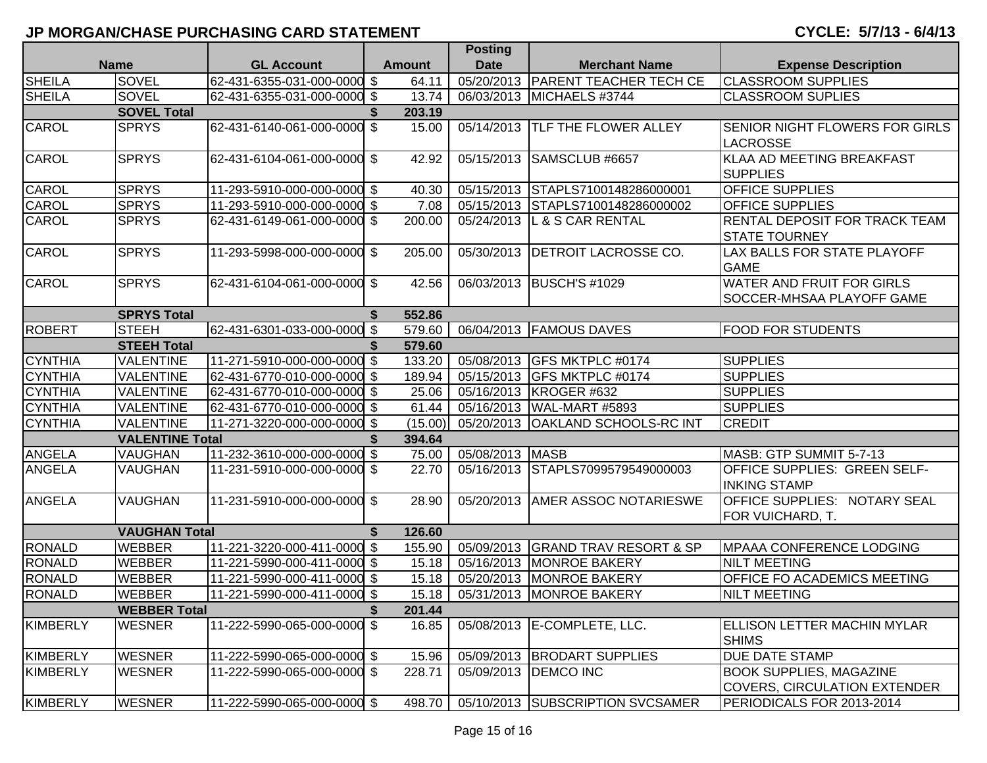|                 |                        |                             |     |               | Posting         |                                     |                                       |
|-----------------|------------------------|-----------------------------|-----|---------------|-----------------|-------------------------------------|---------------------------------------|
| <b>Name</b>     |                        | <b>GL Account</b>           |     | <b>Amount</b> | <b>Date</b>     | <b>Merchant Name</b>                | <b>Expense Description</b>            |
| <b>SHEILA</b>   | SOVEL                  | 62-431-6355-031-000-0000 \$ |     | 64.11         |                 | 05/20/2013   PARENT TEACHER TECH CE | <b>CLASSROOM SUPPLIES</b>             |
| <b>SHEILA</b>   | <b>SOVEL</b>           | 62-431-6355-031-000-0000 \$ |     | 13.74         |                 | 06/03/2013 MICHAELS #3744           | <b>CLASSROOM SUPLIES</b>              |
|                 | <b>SOVEL Total</b>     |                             | S.  | 203.19        |                 |                                     |                                       |
| <b>CAROL</b>    | <b>SPRYS</b>           | 62-431-6140-061-000-0000    | \$  | 15.00         |                 | 05/14/2013  TLF THE FLOWER ALLEY    | <b>SENIOR NIGHT FLOWERS FOR GIRLS</b> |
|                 |                        |                             |     |               |                 |                                     | <b>LACROSSE</b>                       |
| <b>CAROL</b>    | <b>SPRYS</b>           | 62-431-6104-061-000-0000 \$ |     | 42.92         | 05/15/2013      | SAMSCLUB #6657                      | KLAA AD MEETING BREAKFAST             |
|                 |                        |                             |     |               |                 |                                     | <b>SUPPLIES</b>                       |
| <b>CAROL</b>    | <b>SPRYS</b>           | 11-293-5910-000-000-0000 \$ |     | 40.30         |                 | 05/15/2013 STAPLS7100148286000001   | <b>OFFICE SUPPLIES</b>                |
| <b>CAROL</b>    | <b>SPRYS</b>           | 11-293-5910-000-000-0000 \$ |     | 7.08          |                 | 05/15/2013 STAPLS7100148286000002   | <b>OFFICE SUPPLIES</b>                |
| <b>CAROL</b>    | <b>SPRYS</b>           | 62-431-6149-061-000-0000 \$ |     | 200.00        | 05/24/2013      | L & S CAR RENTAL                    | RENTAL DEPOSIT FOR TRACK TEAM         |
|                 |                        |                             |     |               |                 |                                     | <b>STATE TOURNEY</b>                  |
| <b>CAROL</b>    | <b>SPRYS</b>           | 11-293-5998-000-000-0000 \$ |     | 205.00        | 05/30/2013      | <b>DETROIT LACROSSE CO.</b>         | LAX BALLS FOR STATE PLAYOFF           |
|                 |                        |                             |     |               |                 |                                     | <b>GAME</b>                           |
| <b>CAROL</b>    | <b>SPRYS</b>           | 62-431-6104-061-000-0000 \$ |     | 42.56         |                 | 06/03/2013 BUSCH'S #1029            | <b>WATER AND FRUIT FOR GIRLS</b>      |
|                 |                        |                             |     |               |                 |                                     | <b>SOCCER-MHSAA PLAYOFF GAME</b>      |
|                 | <b>SPRYS Total</b>     |                             | \$  | 552.86        |                 |                                     |                                       |
| <b>ROBERT</b>   | <b>STEEH</b>           | 62-431-6301-033-000-0000 \$ |     | 579.60        |                 | 06/04/2013   FAMOUS DAVES           | <b>FOOD FOR STUDENTS</b>              |
|                 | <b>STEEH Total</b>     |                             |     | 579.60        |                 |                                     |                                       |
| <b>CYNTHIA</b>  | <b>VALENTINE</b>       | 11-271-5910-000-000-0000 \$ |     | 133.20        |                 | 05/08/2013 GFS MKTPLC #0174         | <b>SUPPLIES</b>                       |
| <b>CYNTHIA</b>  | <b>VALENTINE</b>       | 62-431-6770-010-000-0000 \$ |     | 189.94        |                 | 05/15/2013 GFS MKTPLC #0174         | <b>SUPPLIES</b>                       |
| <b>CYNTHIA</b>  | <b>VALENTINE</b>       | 62-431-6770-010-000-0000 \$ |     | 25.06         |                 | 05/16/2013 KROGER #632              | <b>SUPPLIES</b>                       |
| <b>CYNTHIA</b>  | <b>VALENTINE</b>       | 62-431-6770-010-000-0000 \$ |     | 61.44         |                 | 05/16/2013 WAL-MART #5893           | <b>SUPPLIES</b>                       |
| <b>CYNTHIA</b>  | <b>VALENTINE</b>       | 11-271-3220-000-000-0000    | \$  | (15.00)       |                 | 05/20/2013 OAKLAND SCHOOLS-RC INT   | <b>CREDIT</b>                         |
|                 | <b>VALENTINE Total</b> |                             |     | 394.64        |                 |                                     |                                       |
| <b>ANGELA</b>   | VAUGHAN                | 11-232-3610-000-000-0000 \$ |     | 75.00         | 05/08/2013 MASB |                                     | MASB: GTP SUMMIT 5-7-13               |
| <b>ANGELA</b>   | VAUGHAN                | 11-231-5910-000-000-0000 \$ |     | 22.70         |                 | 05/16/2013 STAPLS7099579549000003   | <b>OFFICE SUPPLIES: GREEN SELF-</b>   |
|                 |                        |                             |     |               |                 |                                     | <b>INKING STAMP</b>                   |
| <b>ANGELA</b>   | <b>VAUGHAN</b>         | 11-231-5910-000-000-0000 \$ |     | 28.90         |                 | 05/20/2013 AMER ASSOC NOTARIESWE    | <b>OFFICE SUPPLIES: NOTARY SEAL</b>   |
|                 |                        |                             |     |               |                 |                                     | FOR VUICHARD, T.                      |
|                 | <b>VAUGHAN Total</b>   |                             | \$  | 126.60        |                 |                                     |                                       |
| <b>RONALD</b>   | <b>WEBBER</b>          | 11-221-3220-000-411-0000 \$ |     | 155.90        |                 | 05/09/2013 GRAND TRAV RESORT & SP   | <b>MPAAA CONFERENCE LODGING</b>       |
| <b>RONALD</b>   | <b>WEBBER</b>          | 11-221-5990-000-411-0000 \$ |     | 15.18         |                 | 05/16/2013 MONROE BAKERY            | <b>NILT MEETING</b>                   |
| <b>RONALD</b>   | <b>WEBBER</b>          | 11-221-5990-000-411-0000 \$ |     | 15.18         |                 | 05/20/2013 MONROE BAKERY            | OFFICE FO ACADEMICS MEETING           |
| <b>RONALD</b>   | <b>WEBBER</b>          | 11-221-5990-000-411-0000 \$ |     | 15.18         |                 | 05/31/2013 MONROE BAKERY            | <b>NILT MEETING</b>                   |
|                 | <b>WEBBER Total</b>    |                             |     | 201.44        |                 |                                     |                                       |
| <b>KIMBERLY</b> | <b>WESNER</b>          | 11-222-5990-065-000-0000    | -\$ | 16.85         |                 | 05/08/2013 E-COMPLETE, LLC.         | <b>ELLISON LETTER MACHIN MYLAR</b>    |
|                 |                        |                             |     |               |                 |                                     | <b>SHIMS</b>                          |
| <b>KIMBERLY</b> | <b>WESNER</b>          | 11-222-5990-065-000-0000 \$ |     | 15.96         |                 | 05/09/2013 BRODART SUPPLIES         | <b>DUE DATE STAMP</b>                 |
| <b>KIMBERLY</b> | <b>WESNER</b>          | 11-222-5990-065-000-0000 \$ |     | 228.71        | 05/09/2013      | <b>DEMCO INC</b>                    | <b>BOOK SUPPLIES, MAGAZINE</b>        |
|                 |                        |                             |     |               |                 |                                     | COVERS, CIRCULATION EXTENDER          |
| <b>KIMBERLY</b> | <b>WESNER</b>          | 11-222-5990-065-000-0000 \$ |     | 498.70        |                 | 05/10/2013 SUBSCRIPTION SVCSAMER    | PERIODICALS FOR 2013-2014             |